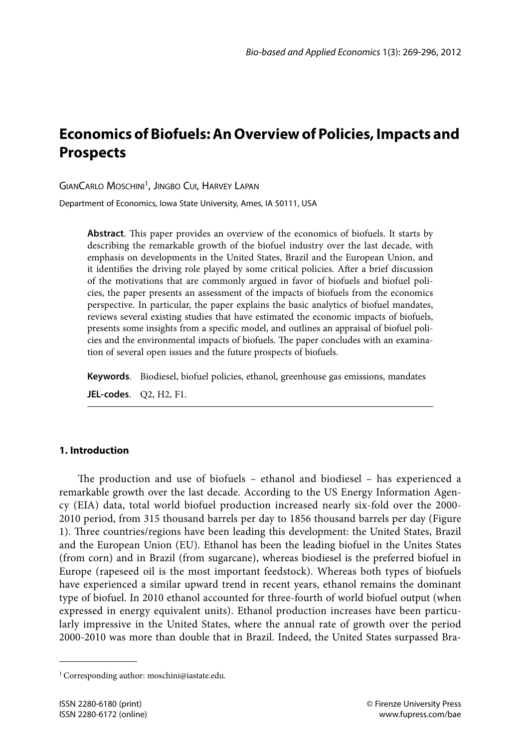# **Economics of Biofuels: An Overview of Policies, Impacts and Prospects**

GIANCARLO MOSCHINI<sup>1</sup>, JINGBO CUI, HARVEY LAPAN

Department of Economics, Iowa State University, Ames, IA 50111, USA

**Abstract**. This paper provides an overview of the economics of biofuels. It starts by describing the remarkable growth of the biofuel industry over the last decade, with emphasis on developments in the United States, Brazil and the European Union, and it identifies the driving role played by some critical policies. After a brief discussion of the motivations that are commonly argued in favor of biofuels and biofuel policies, the paper presents an assessment of the impacts of biofuels from the economics perspective. In particular, the paper explains the basic analytics of biofuel mandates, reviews several existing studies that have estimated the economic impacts of biofuels, presents some insights from a specific model, and outlines an appraisal of biofuel policies and the environmental impacts of biofuels. The paper concludes with an examination of several open issues and the future prospects of biofuels.

**Keywords**. Biodiesel, biofuel policies, ethanol, greenhouse gas emissions, mandates

**JEL-codes**. Q2, H2, F1.

### **1. Introduction**

The production and use of biofuels – ethanol and biodiesel – has experienced a remarkable growth over the last decade. According to the US Energy Information Agency (EIA) data, total world biofuel production increased nearly six-fold over the 2000- 2010 period, from 315 thousand barrels per day to 1856 thousand barrels per day (Figure 1). Three countries/regions have been leading this development: the United States, Brazil and the European Union (EU). Ethanol has been the leading biofuel in the Unites States (from corn) and in Brazil (from sugarcane), whereas biodiesel is the preferred biofuel in Europe (rapeseed oil is the most important feedstock). Whereas both types of biofuels have experienced a similar upward trend in recent years, ethanol remains the dominant type of biofuel. In 2010 ethanol accounted for three-fourth of world biofuel output (when expressed in energy equivalent units). Ethanol production increases have been particularly impressive in the United States, where the annual rate of growth over the period 2000-2010 was more than double that in Brazil. Indeed, the United States surpassed Bra-

<sup>&</sup>lt;sup>1</sup> Corresponding author: moschini@iastate.edu.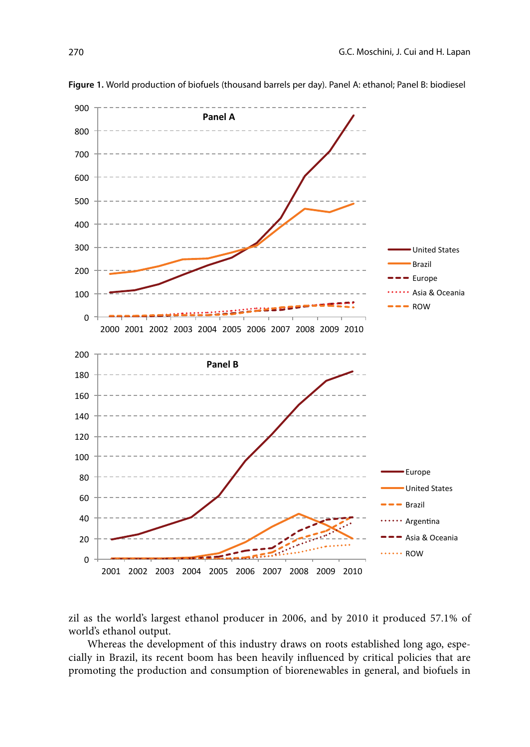

**Figure 1.** World production of biofuels (thousand barrels per day). Panel A: ethanol; Panel B: biodiesel

zil as the world's largest ethanol producer in 2006, and by 2010 it produced 57.1% of world's ethanol output.

Whereas the development of this industry draws on roots established long ago, especially in Brazil, its recent boom has been heavily influenced by critical policies that are promoting the production and consumption of biorenewables in general, and biofuels in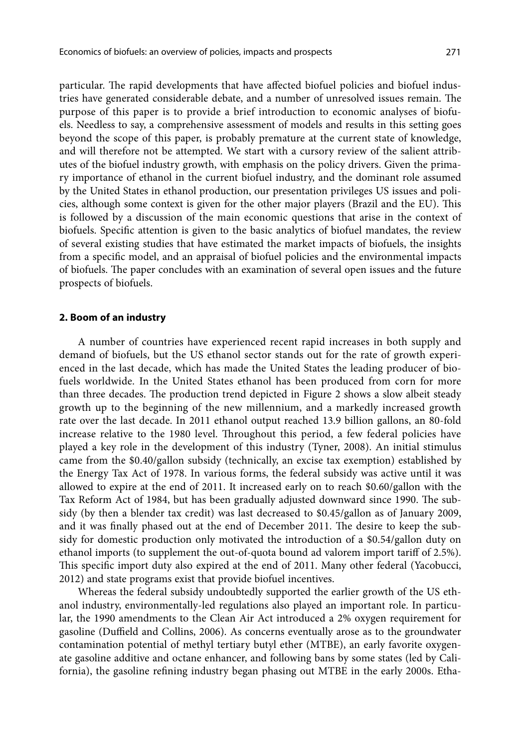particular. The rapid developments that have affected biofuel policies and biofuel industries have generated considerable debate, and a number of unresolved issues remain. The purpose of this paper is to provide a brief introduction to economic analyses of biofuels. Needless to say, a comprehensive assessment of models and results in this setting goes beyond the scope of this paper, is probably premature at the current state of knowledge, and will therefore not be attempted. We start with a cursory review of the salient attributes of the biofuel industry growth, with emphasis on the policy drivers. Given the primary importance of ethanol in the current biofuel industry, and the dominant role assumed by the United States in ethanol production, our presentation privileges US issues and policies, although some context is given for the other major players (Brazil and the EU). This is followed by a discussion of the main economic questions that arise in the context of biofuels. Specific attention is given to the basic analytics of biofuel mandates, the review of several existing studies that have estimated the market impacts of biofuels, the insights from a specific model, and an appraisal of biofuel policies and the environmental impacts of biofuels. The paper concludes with an examination of several open issues and the future prospects of biofuels.

### **2. Boom of an industry**

A number of countries have experienced recent rapid increases in both supply and demand of biofuels, but the US ethanol sector stands out for the rate of growth experienced in the last decade, which has made the United States the leading producer of biofuels worldwide. In the United States ethanol has been produced from corn for more than three decades. The production trend depicted in Figure 2 shows a slow albeit steady growth up to the beginning of the new millennium, and a markedly increased growth rate over the last decade. In 2011 ethanol output reached 13.9 billion gallons, an 80-fold increase relative to the 1980 level. Throughout this period, a few federal policies have played a key role in the development of this industry (Tyner, 2008). An initial stimulus came from the \$0.40/gallon subsidy (technically, an excise tax exemption) established by the Energy Tax Act of 1978. In various forms, the federal subsidy was active until it was allowed to expire at the end of 2011. It increased early on to reach \$0.60/gallon with the Tax Reform Act of 1984, but has been gradually adjusted downward since 1990. The subsidy (by then a blender tax credit) was last decreased to \$0.45/gallon as of January 2009, and it was finally phased out at the end of December 2011. The desire to keep the subsidy for domestic production only motivated the introduction of a \$0.54/gallon duty on ethanol imports (to supplement the out-of-quota bound ad valorem import tariff of 2.5%). This specific import duty also expired at the end of 2011. Many other federal (Yacobucci, 2012) and state programs exist that provide biofuel incentives.

Whereas the federal subsidy undoubtedly supported the earlier growth of the US ethanol industry, environmentally-led regulations also played an important role. In particular, the 1990 amendments to the Clean Air Act introduced a 2% oxygen requirement for gasoline (Duffield and Collins, 2006). As concerns eventually arose as to the groundwater contamination potential of methyl tertiary butyl ether (MTBE), an early favorite oxygenate gasoline additive and octane enhancer, and following bans by some states (led by California), the gasoline refining industry began phasing out MTBE in the early 2000s. Etha-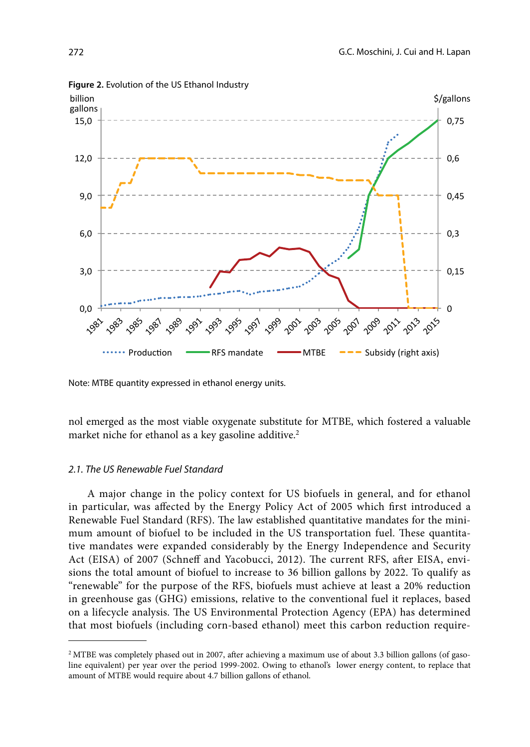

**Figure 2.** Evolution of the US Ethanol Industry

Note: MTBE quantity expressed in ethanol energy units.

nol emerged as the most viable oxygenate substitute for MTBE, which fostered a valuable market niche for ethanol as a key gasoline additive.<sup>2</sup>

### *2.1. The US Renewable Fuel Standard*

A major change in the policy context for US biofuels in general, and for ethanol in particular, was affected by the Energy Policy Act of 2005 which first introduced a Renewable Fuel Standard (RFS). The law established quantitative mandates for the minimum amount of biofuel to be included in the US transportation fuel. These quantitative mandates were expanded considerably by the Energy Independence and Security Act (EISA) of 2007 (Schneff and Yacobucci, 2012). The current RFS, after EISA, envisions the total amount of biofuel to increase to 36 billion gallons by 2022. To qualify as "renewable" for the purpose of the RFS, biofuels must achieve at least a 20% reduction in greenhouse gas (GHG) emissions, relative to the conventional fuel it replaces, based on a lifecycle analysis. The US Environmental Protection Agency (EPA) has determined that most biofuels (including corn-based ethanol) meet this carbon reduction require-

<sup>2</sup> MTBE was completely phased out in 2007, after achieving a maximum use of about 3.3 billion gallons (of gasoline equivalent) per year over the period 1999-2002. Owing to ethanol's lower energy content, to replace that amount of MTBE would require about 4.7 billion gallons of ethanol.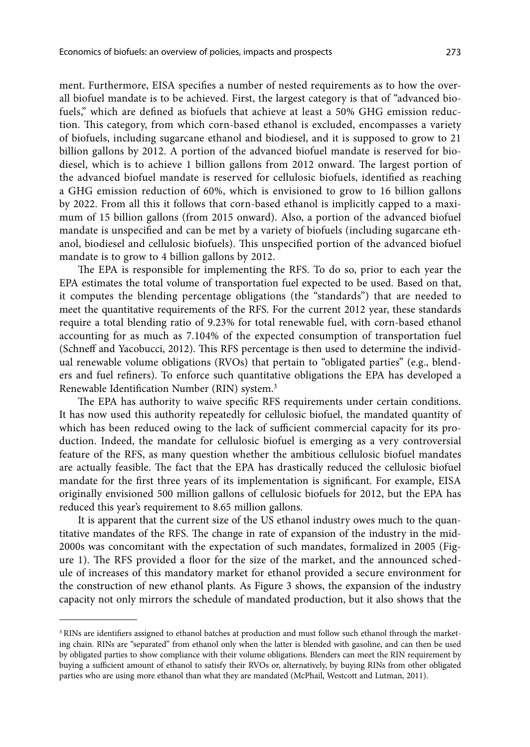ment. Furthermore, EISA specifies a number of nested requirements as to how the overall biofuel mandate is to be achieved. First, the largest category is that of "advanced biofuels," which are defined as biofuels that achieve at least a 50% GHG emission reduction. This category, from which corn-based ethanol is excluded, encompasses a variety of biofuels, including sugarcane ethanol and biodiesel, and it is supposed to grow to 21 billion gallons by 2012. A portion of the advanced biofuel mandate is reserved for biodiesel, which is to achieve 1 billion gallons from 2012 onward. The largest portion of the advanced biofuel mandate is reserved for cellulosic biofuels, identified as reaching a GHG emission reduction of 60%, which is envisioned to grow to 16 billion gallons by 2022. From all this it follows that corn-based ethanol is implicitly capped to a maximum of 15 billion gallons (from 2015 onward). Also, a portion of the advanced biofuel mandate is unspecified and can be met by a variety of biofuels (including sugarcane ethanol, biodiesel and cellulosic biofuels). This unspecified portion of the advanced biofuel mandate is to grow to 4 billion gallons by 2012.

The EPA is responsible for implementing the RFS. To do so, prior to each year the EPA estimates the total volume of transportation fuel expected to be used. Based on that, it computes the blending percentage obligations (the "standards") that are needed to meet the quantitative requirements of the RFS. For the current 2012 year, these standards require a total blending ratio of 9.23% for total renewable fuel, with corn-based ethanol accounting for as much as 7.104% of the expected consumption of transportation fuel (Schneff and Yacobucci, 2012). This RFS percentage is then used to determine the individual renewable volume obligations (RVOs) that pertain to "obligated parties" (e.g., blenders and fuel refiners). To enforce such quantitative obligations the EPA has developed a Renewable Identification Number (RIN) system.3

The EPA has authority to waive specific RFS requirements under certain conditions. It has now used this authority repeatedly for cellulosic biofuel, the mandated quantity of which has been reduced owing to the lack of sufficient commercial capacity for its production. Indeed, the mandate for cellulosic biofuel is emerging as a very controversial feature of the RFS, as many question whether the ambitious cellulosic biofuel mandates are actually feasible. The fact that the EPA has drastically reduced the cellulosic biofuel mandate for the first three years of its implementation is significant. For example, EISA originally envisioned 500 million gallons of cellulosic biofuels for 2012, but the EPA has reduced this year's requirement to 8.65 million gallons.

It is apparent that the current size of the US ethanol industry owes much to the quantitative mandates of the RFS. The change in rate of expansion of the industry in the mid-2000s was concomitant with the expectation of such mandates, formalized in 2005 (Figure 1). The RFS provided a floor for the size of the market, and the announced schedule of increases of this mandatory market for ethanol provided a secure environment for the construction of new ethanol plants. As Figure 3 shows, the expansion of the industry capacity not only mirrors the schedule of mandated production, but it also shows that the

<sup>&</sup>lt;sup>3</sup> RINs are identifiers assigned to ethanol batches at production and must follow such ethanol through the marketing chain. RINs are "separated" from ethanol only when the latter is blended with gasoline, and can then be used by obligated parties to show compliance with their volume obligations. Blenders can meet the RIN requirement by buying a sufficient amount of ethanol to satisfy their RVOs or, alternatively, by buying RINs from other obligated parties who are using more ethanol than what they are mandated (McPhail, Westcott and Lutman, 2011).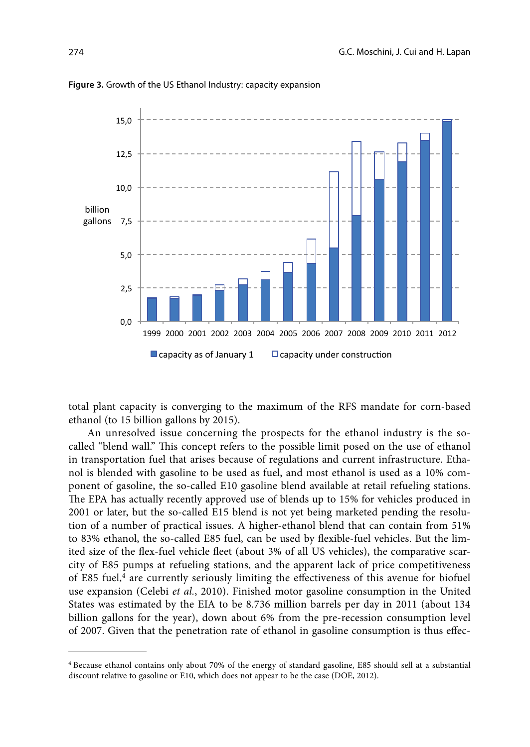

#### **Figure 3.** Growth of the US Ethanol Industry: capacity expansion

total plant capacity is converging to the maximum of the RFS mandate for corn-based ethanol (to 15 billion gallons by 2015).

An unresolved issue concerning the prospects for the ethanol industry is the socalled "blend wall." This concept refers to the possible limit posed on the use of ethanol in transportation fuel that arises because of regulations and current infrastructure. Ethanol is blended with gasoline to be used as fuel, and most ethanol is used as a 10% component of gasoline, the so-called E10 gasoline blend available at retail refueling stations. The EPA has actually recently approved use of blends up to 15% for vehicles produced in 2001 or later, but the so-called E15 blend is not yet being marketed pending the resolution of a number of practical issues. A higher-ethanol blend that can contain from 51% to 83% ethanol, the so-called E85 fuel, can be used by flexible-fuel vehicles. But the limited size of the flex-fuel vehicle fleet (about 3% of all US vehicles), the comparative scarcity of E85 pumps at refueling stations, and the apparent lack of price competitiveness of E85 fuel,<sup>4</sup> are currently seriously limiting the effectiveness of this avenue for biofuel use expansion (Celebi *et al.*, 2010). Finished motor gasoline consumption in the United States was estimated by the EIA to be 8.736 million barrels per day in 2011 (about 134 billion gallons for the year), down about 6% from the pre-recession consumption level of 2007. Given that the penetration rate of ethanol in gasoline consumption is thus effec-

<sup>4</sup> Because ethanol contains only about 70% of the energy of standard gasoline, E85 should sell at a substantial discount relative to gasoline or E10, which does not appear to be the case (DOE, 2012).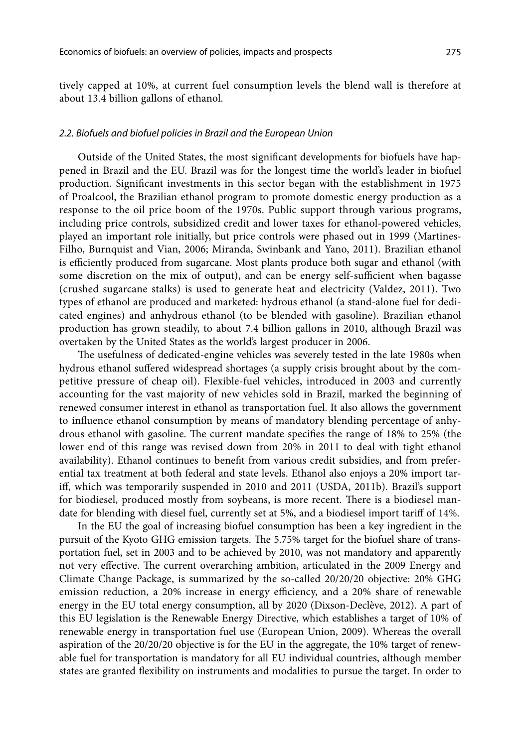tively capped at 10%, at current fuel consumption levels the blend wall is therefore at about 13.4 billion gallons of ethanol.

### *2.2. Biofuels and biofuel policies in Brazil and the European Union*

Outside of the United States, the most significant developments for biofuels have happened in Brazil and the EU. Brazil was for the longest time the world's leader in biofuel production. Significant investments in this sector began with the establishment in 1975 of Proalcool, the Brazilian ethanol program to promote domestic energy production as a response to the oil price boom of the 1970s. Public support through various programs, including price controls, subsidized credit and lower taxes for ethanol-powered vehicles, played an important role initially, but price controls were phased out in 1999 (Martines-Filho, Burnquist and Vian, 2006; Miranda, Swinbank and Yano, 2011). Brazilian ethanol is efficiently produced from sugarcane. Most plants produce both sugar and ethanol (with some discretion on the mix of output), and can be energy self-sufficient when bagasse (crushed sugarcane stalks) is used to generate heat and electricity (Valdez, 2011). Two types of ethanol are produced and marketed: hydrous ethanol (a stand-alone fuel for dedicated engines) and anhydrous ethanol (to be blended with gasoline). Brazilian ethanol production has grown steadily, to about 7.4 billion gallons in 2010, although Brazil was overtaken by the United States as the world's largest producer in 2006.

The usefulness of dedicated-engine vehicles was severely tested in the late 1980s when hydrous ethanol suffered widespread shortages (a supply crisis brought about by the competitive pressure of cheap oil). Flexible-fuel vehicles, introduced in 2003 and currently accounting for the vast majority of new vehicles sold in Brazil, marked the beginning of renewed consumer interest in ethanol as transportation fuel. It also allows the government to influence ethanol consumption by means of mandatory blending percentage of anhydrous ethanol with gasoline. The current mandate specifies the range of 18% to 25% (the lower end of this range was revised down from 20% in 2011 to deal with tight ethanol availability). Ethanol continues to benefit from various credit subsidies, and from preferential tax treatment at both federal and state levels. Ethanol also enjoys a 20% import tariff, which was temporarily suspended in 2010 and 2011 (USDA, 2011b). Brazil's support for biodiesel, produced mostly from soybeans, is more recent. There is a biodiesel mandate for blending with diesel fuel, currently set at 5%, and a biodiesel import tariff of 14%.

In the EU the goal of increasing biofuel consumption has been a key ingredient in the pursuit of the Kyoto GHG emission targets. The 5.75% target for the biofuel share of transportation fuel, set in 2003 and to be achieved by 2010, was not mandatory and apparently not very effective. The current overarching ambition, articulated in the 2009 Energy and Climate Change Package, is summarized by the so-called 20/20/20 objective: 20% GHG emission reduction, a 20% increase in energy efficiency, and a 20% share of renewable energy in the EU total energy consumption, all by 2020 (Dixson-Declève, 2012). A part of this EU legislation is the Renewable Energy Directive, which establishes a target of 10% of renewable energy in transportation fuel use (European Union, 2009). Whereas the overall aspiration of the 20/20/20 objective is for the EU in the aggregate, the 10% target of renewable fuel for transportation is mandatory for all EU individual countries, although member states are granted flexibility on instruments and modalities to pursue the target. In order to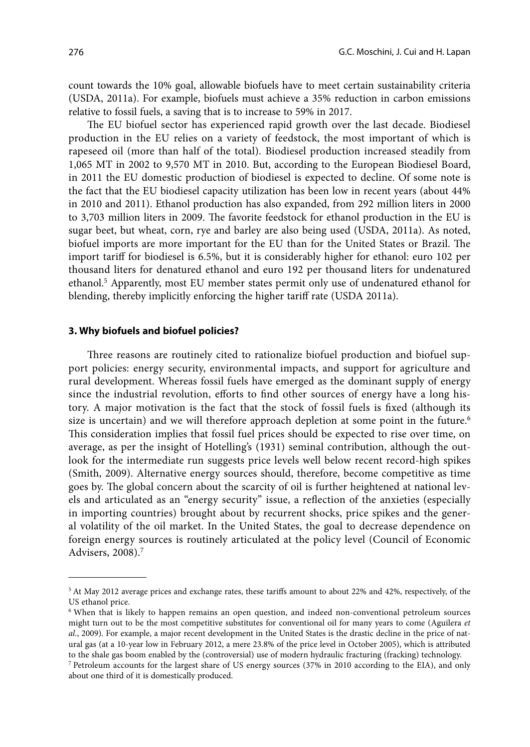count towards the 10% goal, allowable biofuels have to meet certain sustainability criteria (USDA, 2011a). For example, biofuels must achieve a 35% reduction in carbon emissions relative to fossil fuels, a saving that is to increase to 59% in 2017.

The EU biofuel sector has experienced rapid growth over the last decade. Biodiesel production in the EU relies on a variety of feedstock, the most important of which is rapeseed oil (more than half of the total). Biodiesel production increased steadily from 1,065 MT in 2002 to 9,570 MT in 2010. But, according to the European Biodiesel Board, in 2011 the EU domestic production of biodiesel is expected to decline. Of some note is the fact that the EU biodiesel capacity utilization has been low in recent years (about 44% in 2010 and 2011). Ethanol production has also expanded, from 292 million liters in 2000 to 3,703 million liters in 2009. The favorite feedstock for ethanol production in the EU is sugar beet, but wheat, corn, rye and barley are also being used (USDA, 2011a). As noted, biofuel imports are more important for the EU than for the United States or Brazil. The import tariff for biodiesel is 6.5%, but it is considerably higher for ethanol: euro 102 per thousand liters for denatured ethanol and euro 192 per thousand liters for undenatured ethanol.5 Apparently, most EU member states permit only use of undenatured ethanol for blending, thereby implicitly enforcing the higher tariff rate (USDA 2011a).

### **3. Why biofuels and biofuel policies?**

Three reasons are routinely cited to rationalize biofuel production and biofuel support policies: energy security, environmental impacts, and support for agriculture and rural development. Whereas fossil fuels have emerged as the dominant supply of energy since the industrial revolution, efforts to find other sources of energy have a long history. A major motivation is the fact that the stock of fossil fuels is fixed (although its size is uncertain) and we will therefore approach depletion at some point in the future.<sup>6</sup> This consideration implies that fossil fuel prices should be expected to rise over time, on average, as per the insight of Hotelling's (1931) seminal contribution, although the outlook for the intermediate run suggests price levels well below recent record-high spikes (Smith, 2009). Alternative energy sources should, therefore, become competitive as time goes by. The global concern about the scarcity of oil is further heightened at national levels and articulated as an "energy security" issue, a reflection of the anxieties (especially in importing countries) brought about by recurrent shocks, price spikes and the general volatility of the oil market. In the United States, the goal to decrease dependence on foreign energy sources is routinely articulated at the policy level (Council of Economic Advisers, 2008).7

<sup>5</sup> At May 2012 average prices and exchange rates, these tariffs amount to about 22% and 42%, respectively, of the US ethanol price.

<sup>6</sup> When that is likely to happen remains an open question, and indeed non-conventional petroleum sources might turn out to be the most competitive substitutes for conventional oil for many years to come (Aguilera *et al.*, 2009). For example, a major recent development in the United States is the drastic decline in the price of natural gas (at a 10-year low in February 2012, a mere 23.8% of the price level in October 2005), which is attributed to the shale gas boom enabled by the (controversial) use of modern hydraulic fracturing (fracking) technology.

<sup>7</sup> Petroleum accounts for the largest share of US energy sources (37% in 2010 according to the EIA), and only about one third of it is domestically produced.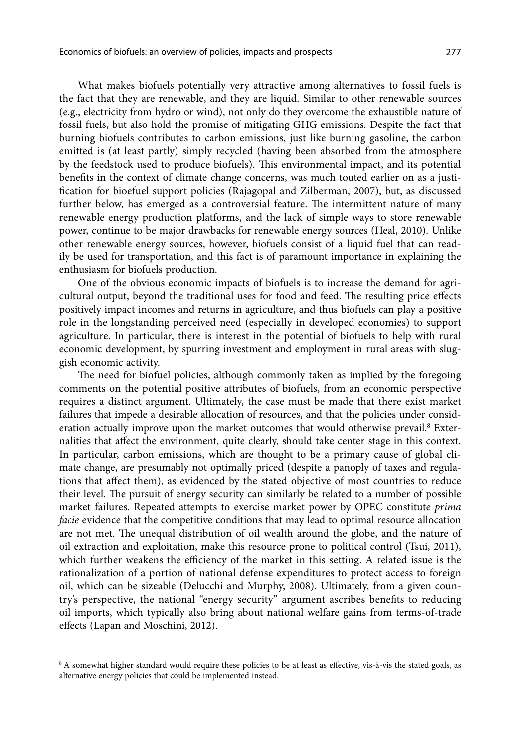What makes biofuels potentially very attractive among alternatives to fossil fuels is the fact that they are renewable, and they are liquid. Similar to other renewable sources (e.g., electricity from hydro or wind), not only do they overcome the exhaustible nature of fossil fuels, but also hold the promise of mitigating GHG emissions. Despite the fact that burning biofuels contributes to carbon emissions, just like burning gasoline, the carbon emitted is (at least partly) simply recycled (having been absorbed from the atmosphere by the feedstock used to produce biofuels). This environmental impact, and its potential benefits in the context of climate change concerns, was much touted earlier on as a justification for bioefuel support policies (Rajagopal and Zilberman, 2007), but, as discussed further below, has emerged as a controversial feature. The intermittent nature of many renewable energy production platforms, and the lack of simple ways to store renewable power, continue to be major drawbacks for renewable energy sources (Heal, 2010). Unlike other renewable energy sources, however, biofuels consist of a liquid fuel that can readily be used for transportation, and this fact is of paramount importance in explaining the enthusiasm for biofuels production.

One of the obvious economic impacts of biofuels is to increase the demand for agricultural output, beyond the traditional uses for food and feed. The resulting price effects positively impact incomes and returns in agriculture, and thus biofuels can play a positive role in the longstanding perceived need (especially in developed economies) to support agriculture. In particular, there is interest in the potential of biofuels to help with rural economic development, by spurring investment and employment in rural areas with sluggish economic activity.

The need for biofuel policies, although commonly taken as implied by the foregoing comments on the potential positive attributes of biofuels, from an economic perspective requires a distinct argument. Ultimately, the case must be made that there exist market failures that impede a desirable allocation of resources, and that the policies under consideration actually improve upon the market outcomes that would otherwise prevail.<sup>8</sup> Externalities that affect the environment, quite clearly, should take center stage in this context. In particular, carbon emissions, which are thought to be a primary cause of global climate change, are presumably not optimally priced (despite a panoply of taxes and regulations that affect them), as evidenced by the stated objective of most countries to reduce their level. The pursuit of energy security can similarly be related to a number of possible market failures. Repeated attempts to exercise market power by OPEC constitute *prima facie* evidence that the competitive conditions that may lead to optimal resource allocation are not met. The unequal distribution of oil wealth around the globe, and the nature of oil extraction and exploitation, make this resource prone to political control (Tsui, 2011), which further weakens the efficiency of the market in this setting. A related issue is the rationalization of a portion of national defense expenditures to protect access to foreign oil, which can be sizeable (Delucchi and Murphy, 2008). Ultimately, from a given country's perspective, the national "energy security" argument ascribes benefits to reducing oil imports, which typically also bring about national welfare gains from terms-of-trade effects (Lapan and Moschini, 2012).

<sup>&</sup>lt;sup>8</sup> A somewhat higher standard would require these policies to be at least as effective, vis-à-vis the stated goals, as alternative energy policies that could be implemented instead.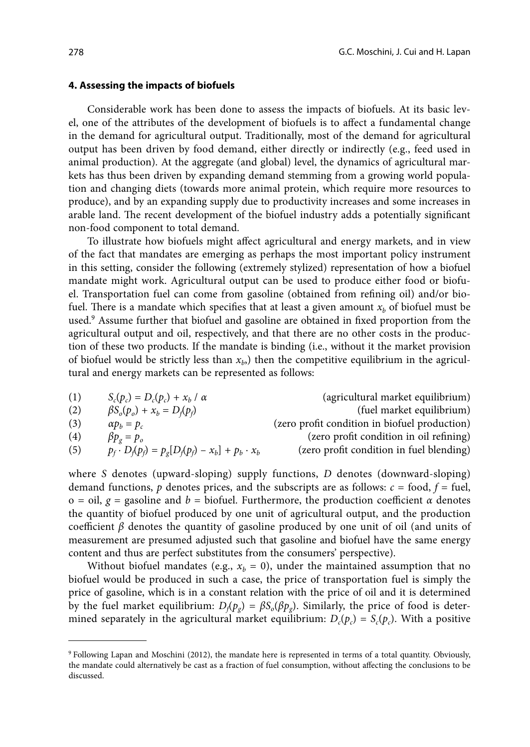#### **4. Assessing the impacts of biofuels**

Considerable work has been done to assess the impacts of biofuels. At its basic level, one of the attributes of the development of biofuels is to affect a fundamental change in the demand for agricultural output. Traditionally, most of the demand for agricultural output has been driven by food demand, either directly or indirectly (e.g., feed used in animal production). At the aggregate (and global) level, the dynamics of agricultural markets has thus been driven by expanding demand stemming from a growing world population and changing diets (towards more animal protein, which require more resources to produce), and by an expanding supply due to productivity increases and some increases in arable land. The recent development of the biofuel industry adds a potentially significant non-food component to total demand.

To illustrate how biofuels might affect agricultural and energy markets, and in view of the fact that mandates are emerging as perhaps the most important policy instrument in this setting, consider the following (extremely stylized) representation of how a biofuel mandate might work. Agricultural output can be used to produce either food or biofuel. Transportation fuel can come from gasoline (obtained from refining oil) and/or biofuel. There is a mandate which specifies that at least a given amount  $x<sub>b</sub>$  of biofuel must be used.<sup>9</sup> Assume further that biofuel and gasoline are obtained in fixed proportion from the agricultural output and oil, respectively, and that there are no other costs in the production of these two products. If the mandate is binding (i.e., without it the market provision of biofuel would be strictly less than  $x<sub>b</sub>$ , then the competitive equilibrium in the agricultural and energy markets can be represented as follows:

| (1) | $S_c(p_c) = D_c(p_c) + x_h / \alpha$                       | (agricultural market equilibrium)             |
|-----|------------------------------------------------------------|-----------------------------------------------|
| (2) | $\beta S_o(p_o) + x_b = D_f(p_f)$                          | (fuel market equilibrium)                     |
| (3) | $\alpha p_h = p_c$                                         | (zero profit condition in biofuel production) |
| (4) | $\beta p_{\varrho} = p_{\varrho}$                          | (zero profit condition in oil refining)       |
| (5) | $p_f \cdot D_f(p_f) = p_e[D_f(p_f) - x_b] + p_b \cdot x_b$ | (zero profit condition in fuel blending)      |

where *S* denotes (upward-sloping) supply functions, *D* denotes (downward-sloping) demand functions,  $p$  denotes prices, and the subscripts are as follows:  $c =$  food,  $f =$  fuel, o = oil, *g* = gasoline and *b* = biofuel. Furthermore, the production coefficient *α* denotes the quantity of biofuel produced by one unit of agricultural output, and the production coefficient  $\beta$  denotes the quantity of gasoline produced by one unit of oil (and units of measurement are presumed adjusted such that gasoline and biofuel have the same energy content and thus are perfect substitutes from the consumers' perspective).

Without biofuel mandates (e.g.,  $x_h = 0$ ), under the maintained assumption that no biofuel would be produced in such a case, the price of transportation fuel is simply the price of gasoline, which is in a constant relation with the price of oil and it is determined by the fuel market equilibrium:  $D_f(p_g) = \beta S_o(\beta p_g)$ . Similarly, the price of food is determined separately in the agricultural market equilibrium:  $D_c(p_c) = S_c(p_c)$ . With a positive

<sup>9</sup> Following Lapan and Moschini (2012), the mandate here is represented in terms of a total quantity. Obviously, the mandate could alternatively be cast as a fraction of fuel consumption, without affecting the conclusions to be discussed.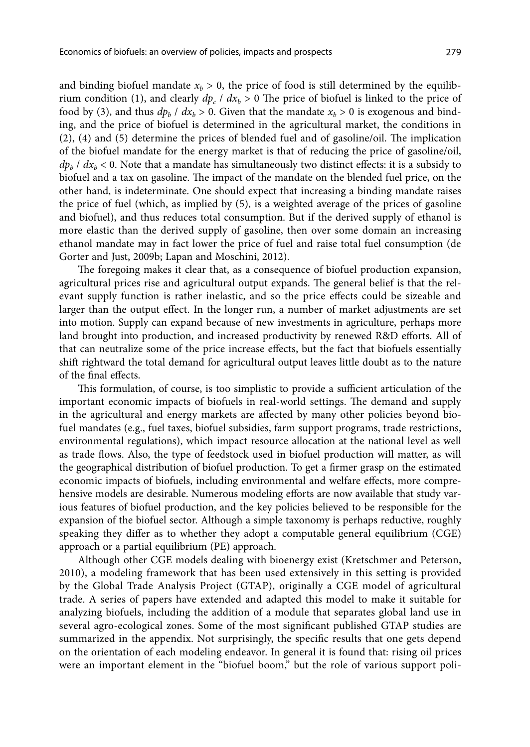and binding biofuel mandate  $x_b > 0$ , the price of food is still determined by the equilibrium condition (1), and clearly  $dp_c$  /  $dx_b$  > 0 The price of biofuel is linked to the price of food by (3), and thus  $dp_b / dx_b > 0$ . Given that the mandate  $x_b > 0$  is exogenous and binding, and the price of biofuel is determined in the agricultural market, the conditions in (2), (4) and (5) determine the prices of blended fuel and of gasoline/oil. The implication of the biofuel mandate for the energy market is that of reducing the price of gasoline/oil,  $dp_b$  /  $dx_b$  < 0. Note that a mandate has simultaneously two distinct effects: it is a subsidy to biofuel and a tax on gasoline. The impact of the mandate on the blended fuel price, on the other hand, is indeterminate. One should expect that increasing a binding mandate raises the price of fuel (which, as implied by (5), is a weighted average of the prices of gasoline and biofuel), and thus reduces total consumption. But if the derived supply of ethanol is more elastic than the derived supply of gasoline, then over some domain an increasing ethanol mandate may in fact lower the price of fuel and raise total fuel consumption (de Gorter and Just, 2009b; Lapan and Moschini, 2012).

The foregoing makes it clear that, as a consequence of biofuel production expansion, agricultural prices rise and agricultural output expands. The general belief is that the relevant supply function is rather inelastic, and so the price effects could be sizeable and larger than the output effect. In the longer run, a number of market adjustments are set into motion. Supply can expand because of new investments in agriculture, perhaps more land brought into production, and increased productivity by renewed R&D efforts. All of that can neutralize some of the price increase effects, but the fact that biofuels essentially shift rightward the total demand for agricultural output leaves little doubt as to the nature of the final effects.

This formulation, of course, is too simplistic to provide a sufficient articulation of the important economic impacts of biofuels in real-world settings. The demand and supply in the agricultural and energy markets are affected by many other policies beyond biofuel mandates (e.g., fuel taxes, biofuel subsidies, farm support programs, trade restrictions, environmental regulations), which impact resource allocation at the national level as well as trade flows. Also, the type of feedstock used in biofuel production will matter, as will the geographical distribution of biofuel production. To get a firmer grasp on the estimated economic impacts of biofuels, including environmental and welfare effects, more comprehensive models are desirable. Numerous modeling efforts are now available that study various features of biofuel production, and the key policies believed to be responsible for the expansion of the biofuel sector. Although a simple taxonomy is perhaps reductive, roughly speaking they differ as to whether they adopt a computable general equilibrium (CGE) approach or a partial equilibrium (PE) approach.

Although other CGE models dealing with bioenergy exist (Kretschmer and Peterson, 2010), a modeling framework that has been used extensively in this setting is provided by the Global Trade Analysis Project (GTAP), originally a CGE model of agricultural trade. A series of papers have extended and adapted this model to make it suitable for analyzing biofuels, including the addition of a module that separates global land use in several agro-ecological zones. Some of the most significant published GTAP studies are summarized in the appendix. Not surprisingly, the specific results that one gets depend on the orientation of each modeling endeavor. In general it is found that: rising oil prices were an important element in the "biofuel boom," but the role of various support poli-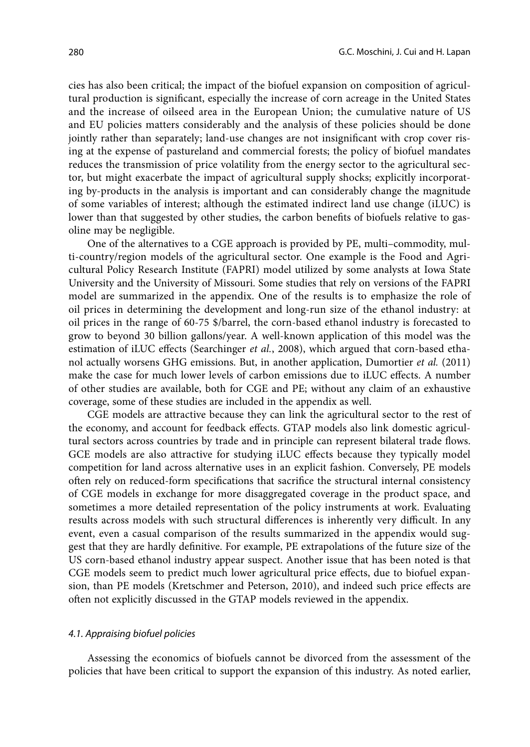cies has also been critical; the impact of the biofuel expansion on composition of agricultural production is significant, especially the increase of corn acreage in the United States and the increase of oilseed area in the European Union; the cumulative nature of US and EU policies matters considerably and the analysis of these policies should be done jointly rather than separately; land-use changes are not insignificant with crop cover rising at the expense of pastureland and commercial forests; the policy of biofuel mandates reduces the transmission of price volatility from the energy sector to the agricultural sector, but might exacerbate the impact of agricultural supply shocks; explicitly incorporating by-products in the analysis is important and can considerably change the magnitude of some variables of interest; although the estimated indirect land use change (iLUC) is lower than that suggested by other studies, the carbon benefits of biofuels relative to gasoline may be negligible.

One of the alternatives to a CGE approach is provided by PE, multi–commodity, multi-country/region models of the agricultural sector. One example is the Food and Agricultural Policy Research Institute (FAPRI) model utilized by some analysts at Iowa State University and the University of Missouri. Some studies that rely on versions of the FAPRI model are summarized in the appendix. One of the results is to emphasize the role of oil prices in determining the development and long-run size of the ethanol industry: at oil prices in the range of 60-75 \$/barrel, the corn-based ethanol industry is forecasted to grow to beyond 30 billion gallons/year. A well-known application of this model was the estimation of iLUC effects (Searchinger *et al.*, 2008), which argued that corn-based ethanol actually worsens GHG emissions. But, in another application, Dumortier *et al.* (2011) make the case for much lower levels of carbon emissions due to iLUC effects. A number of other studies are available, both for CGE and PE; without any claim of an exhaustive coverage, some of these studies are included in the appendix as well.

CGE models are attractive because they can link the agricultural sector to the rest of the economy, and account for feedback effects. GTAP models also link domestic agricultural sectors across countries by trade and in principle can represent bilateral trade flows. GCE models are also attractive for studying iLUC effects because they typically model competition for land across alternative uses in an explicit fashion. Conversely, PE models often rely on reduced-form specifications that sacrifice the structural internal consistency of CGE models in exchange for more disaggregated coverage in the product space, and sometimes a more detailed representation of the policy instruments at work. Evaluating results across models with such structural differences is inherently very difficult. In any event, even a casual comparison of the results summarized in the appendix would suggest that they are hardly definitive. For example, PE extrapolations of the future size of the US corn-based ethanol industry appear suspect. Another issue that has been noted is that CGE models seem to predict much lower agricultural price effects, due to biofuel expansion, than PE models (Kretschmer and Peterson, 2010), and indeed such price effects are often not explicitly discussed in the GTAP models reviewed in the appendix.

#### *4.1. Appraising biofuel policies*

Assessing the economics of biofuels cannot be divorced from the assessment of the policies that have been critical to support the expansion of this industry. As noted earlier,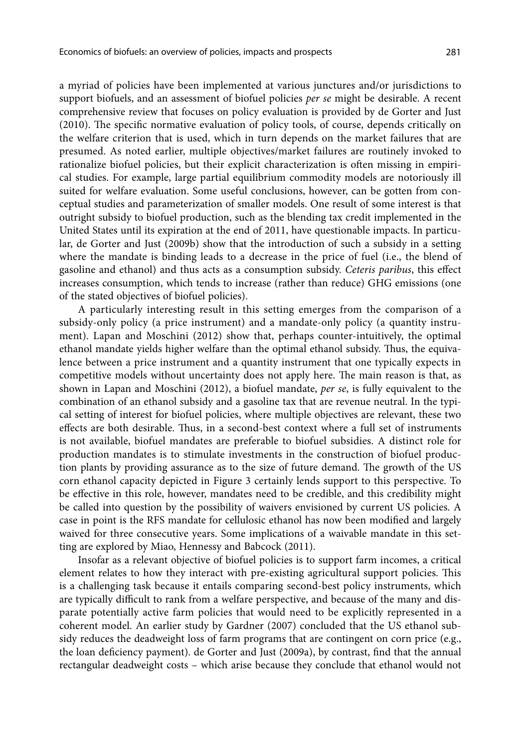a myriad of policies have been implemented at various junctures and/or jurisdictions to support biofuels, and an assessment of biofuel policies *per se* might be desirable. A recent comprehensive review that focuses on policy evaluation is provided by de Gorter and Just (2010). The specific normative evaluation of policy tools, of course, depends critically on the welfare criterion that is used, which in turn depends on the market failures that are presumed. As noted earlier, multiple objectives/market failures are routinely invoked to rationalize biofuel policies, but their explicit characterization is often missing in empirical studies. For example, large partial equilibrium commodity models are notoriously ill suited for welfare evaluation. Some useful conclusions, however, can be gotten from conceptual studies and parameterization of smaller models. One result of some interest is that outright subsidy to biofuel production, such as the blending tax credit implemented in the United States until its expiration at the end of 2011, have questionable impacts. In particular, de Gorter and Just (2009b) show that the introduction of such a subsidy in a setting where the mandate is binding leads to a decrease in the price of fuel (i.e., the blend of gasoline and ethanol) and thus acts as a consumption subsidy. *Ceteris paribus*, this effect increases consumption, which tends to increase (rather than reduce) GHG emissions (one of the stated objectives of biofuel policies).

A particularly interesting result in this setting emerges from the comparison of a subsidy-only policy (a price instrument) and a mandate-only policy (a quantity instrument). Lapan and Moschini (2012) show that, perhaps counter-intuitively, the optimal ethanol mandate yields higher welfare than the optimal ethanol subsidy. Thus, the equivalence between a price instrument and a quantity instrument that one typically expects in competitive models without uncertainty does not apply here. The main reason is that, as shown in Lapan and Moschini (2012), a biofuel mandate, *per se*, is fully equivalent to the combination of an ethanol subsidy and a gasoline tax that are revenue neutral. In the typical setting of interest for biofuel policies, where multiple objectives are relevant, these two effects are both desirable. Thus, in a second-best context where a full set of instruments is not available, biofuel mandates are preferable to biofuel subsidies. A distinct role for production mandates is to stimulate investments in the construction of biofuel production plants by providing assurance as to the size of future demand. The growth of the US corn ethanol capacity depicted in Figure 3 certainly lends support to this perspective. To be effective in this role, however, mandates need to be credible, and this credibility might be called into question by the possibility of waivers envisioned by current US policies. A case in point is the RFS mandate for cellulosic ethanol has now been modified and largely waived for three consecutive years. Some implications of a waivable mandate in this setting are explored by Miao, Hennessy and Babcock (2011).

Insofar as a relevant objective of biofuel policies is to support farm incomes, a critical element relates to how they interact with pre-existing agricultural support policies. This is a challenging task because it entails comparing second-best policy instruments, which are typically difficult to rank from a welfare perspective, and because of the many and disparate potentially active farm policies that would need to be explicitly represented in a coherent model. An earlier study by Gardner (2007) concluded that the US ethanol subsidy reduces the deadweight loss of farm programs that are contingent on corn price (e.g., the loan deficiency payment). de Gorter and Just (2009a), by contrast, find that the annual rectangular deadweight costs – which arise because they conclude that ethanol would not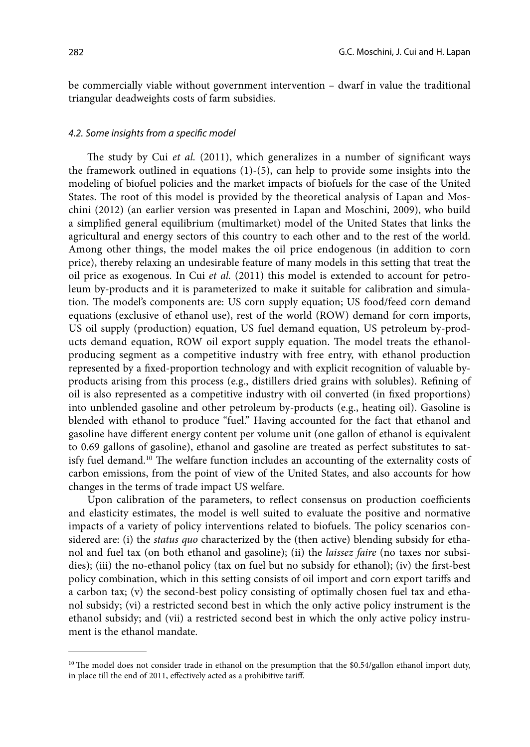be commercially viable without government intervention – dwarf in value the traditional triangular deadweights costs of farm subsidies.

### *4.2. Some insights from a specific model*

The study by Cui *et al.* (2011), which generalizes in a number of significant ways the framework outlined in equations  $(1)-(5)$ , can help to provide some insights into the modeling of biofuel policies and the market impacts of biofuels for the case of the United States. The root of this model is provided by the theoretical analysis of Lapan and Moschini (2012) (an earlier version was presented in Lapan and Moschini, 2009), who build a simplified general equilibrium (multimarket) model of the United States that links the agricultural and energy sectors of this country to each other and to the rest of the world. Among other things, the model makes the oil price endogenous (in addition to corn price), thereby relaxing an undesirable feature of many models in this setting that treat the oil price as exogenous. In Cui *et al.* (2011) this model is extended to account for petroleum by-products and it is parameterized to make it suitable for calibration and simulation. The model's components are: US corn supply equation; US food/feed corn demand equations (exclusive of ethanol use), rest of the world (ROW) demand for corn imports, US oil supply (production) equation, US fuel demand equation, US petroleum by-products demand equation, ROW oil export supply equation. The model treats the ethanolproducing segment as a competitive industry with free entry, with ethanol production represented by a fixed-proportion technology and with explicit recognition of valuable byproducts arising from this process (e.g., distillers dried grains with solubles). Refining of oil is also represented as a competitive industry with oil converted (in fixed proportions) into unblended gasoline and other petroleum by-products (e.g., heating oil). Gasoline is blended with ethanol to produce "fuel." Having accounted for the fact that ethanol and gasoline have different energy content per volume unit (one gallon of ethanol is equivalent to 0.69 gallons of gasoline), ethanol and gasoline are treated as perfect substitutes to satisfy fuel demand.<sup>10</sup> The welfare function includes an accounting of the externality costs of carbon emissions, from the point of view of the United States, and also accounts for how changes in the terms of trade impact US welfare.

Upon calibration of the parameters, to reflect consensus on production coefficients and elasticity estimates, the model is well suited to evaluate the positive and normative impacts of a variety of policy interventions related to biofuels. The policy scenarios considered are: (i) the *status quo* characterized by the (then active) blending subsidy for ethanol and fuel tax (on both ethanol and gasoline); (ii) the *laissez faire* (no taxes nor subsidies); (iii) the no-ethanol policy (tax on fuel but no subsidy for ethanol); (iv) the first-best policy combination, which in this setting consists of oil import and corn export tariffs and a carbon tax; (v) the second-best policy consisting of optimally chosen fuel tax and ethanol subsidy; (vi) a restricted second best in which the only active policy instrument is the ethanol subsidy; and (vii) a restricted second best in which the only active policy instrument is the ethanol mandate.

<sup>&</sup>lt;sup>10</sup> The model does not consider trade in ethanol on the presumption that the \$0.54/gallon ethanol import duty, in place till the end of 2011, effectively acted as a prohibitive tariff.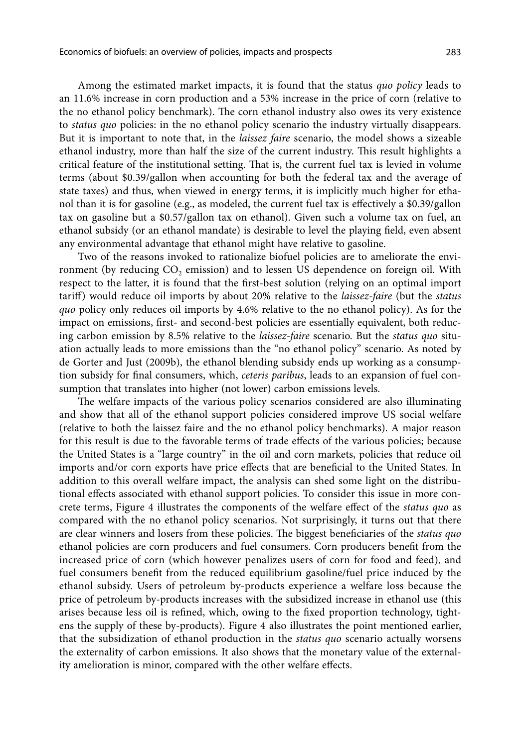Among the estimated market impacts, it is found that the status *quo policy* leads to an 11.6% increase in corn production and a 53% increase in the price of corn (relative to the no ethanol policy benchmark). The corn ethanol industry also owes its very existence to *status quo* policies: in the no ethanol policy scenario the industry virtually disappears. But it is important to note that, in the *laissez faire* scenario, the model shows a sizeable ethanol industry, more than half the size of the current industry. This result highlights a critical feature of the institutional setting. That is, the current fuel tax is levied in volume terms (about \$0.39/gallon when accounting for both the federal tax and the average of state taxes) and thus, when viewed in energy terms, it is implicitly much higher for ethanol than it is for gasoline (e.g., as modeled, the current fuel tax is effectively a \$0.39/gallon tax on gasoline but a \$0.57/gallon tax on ethanol). Given such a volume tax on fuel, an ethanol subsidy (or an ethanol mandate) is desirable to level the playing field, even absent any environmental advantage that ethanol might have relative to gasoline.

Two of the reasons invoked to rationalize biofuel policies are to ameliorate the environment (by reducing CO<sub>2</sub> emission) and to lessen US dependence on foreign oil. With respect to the latter, it is found that the first-best solution (relying on an optimal import tariff) would reduce oil imports by about 20% relative to the *laissez-faire* (but the *status quo* policy only reduces oil imports by 4.6% relative to the no ethanol policy). As for the impact on emissions, first- and second-best policies are essentially equivalent, both reducing carbon emission by 8.5% relative to the *laissez-faire* scenario. But the *status quo* situation actually leads to more emissions than the "no ethanol policy" scenario. As noted by de Gorter and Just (2009b), the ethanol blending subsidy ends up working as a consumption subsidy for final consumers, which, *ceteris paribus*, leads to an expansion of fuel consumption that translates into higher (not lower) carbon emissions levels.

The welfare impacts of the various policy scenarios considered are also illuminating and show that all of the ethanol support policies considered improve US social welfare (relative to both the laissez faire and the no ethanol policy benchmarks). A major reason for this result is due to the favorable terms of trade effects of the various policies; because the United States is a "large country" in the oil and corn markets, policies that reduce oil imports and/or corn exports have price effects that are beneficial to the United States. In addition to this overall welfare impact, the analysis can shed some light on the distributional effects associated with ethanol support policies. To consider this issue in more concrete terms, Figure 4 illustrates the components of the welfare effect of the *status quo* as compared with the no ethanol policy scenarios. Not surprisingly, it turns out that there are clear winners and losers from these policies. The biggest beneficiaries of the *status quo* ethanol policies are corn producers and fuel consumers. Corn producers benefit from the increased price of corn (which however penalizes users of corn for food and feed), and fuel consumers benefit from the reduced equilibrium gasoline/fuel price induced by the ethanol subsidy. Users of petroleum by-products experience a welfare loss because the price of petroleum by-products increases with the subsidized increase in ethanol use (this arises because less oil is refined, which, owing to the fixed proportion technology, tightens the supply of these by-products). Figure 4 also illustrates the point mentioned earlier, that the subsidization of ethanol production in the *status quo* scenario actually worsens the externality of carbon emissions. It also shows that the monetary value of the externality amelioration is minor, compared with the other welfare effects.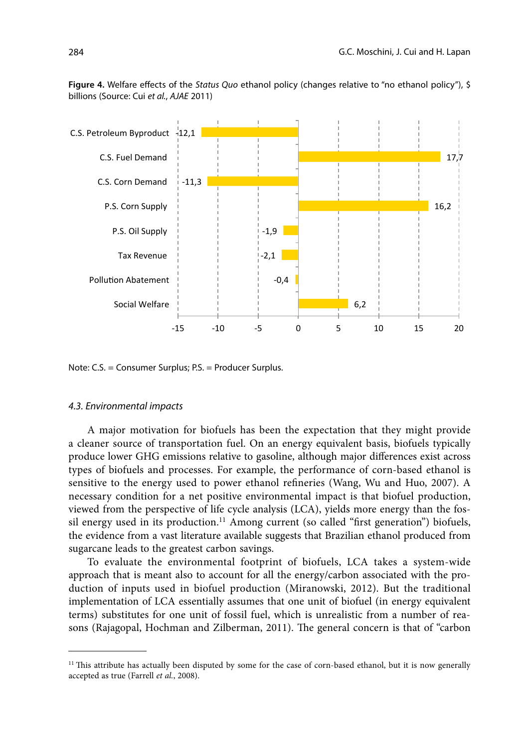**Figure 4.** Welfare effects of the *Status Quo* ethanol policy (changes relative to "no ethanol policy"), \$ billions (Source: Cui *et al.*, *AJAE* 2011)



Note: C.S. = Consumer Surplus; P.S. = Producer Surplus.

### *4.3. Environmental impacts*

A major motivation for biofuels has been the expectation that they might provide a cleaner source of transportation fuel. On an energy equivalent basis, biofuels typically produce lower GHG emissions relative to gasoline, although major differences exist across types of biofuels and processes. For example, the performance of corn-based ethanol is sensitive to the energy used to power ethanol refineries (Wang, Wu and Huo, 2007). A necessary condition for a net positive environmental impact is that biofuel production, viewed from the perspective of life cycle analysis (LCA), yields more energy than the fossil energy used in its production.<sup>11</sup> Among current (so called "first generation") biofuels, the evidence from a vast literature available suggests that Brazilian ethanol produced from sugarcane leads to the greatest carbon savings.

To evaluate the environmental footprint of biofuels, LCA takes a system-wide approach that is meant also to account for all the energy/carbon associated with the production of inputs used in biofuel production (Miranowski, 2012). But the traditional implementation of LCA essentially assumes that one unit of biofuel (in energy equivalent terms) substitutes for one unit of fossil fuel, which is unrealistic from a number of reasons (Rajagopal, Hochman and Zilberman, 2011). The general concern is that of "carbon

<sup>&</sup>lt;sup>11</sup> This attribute has actually been disputed by some for the case of corn-based ethanol, but it is now generally accepted as true (Farrell *et al.*, 2008).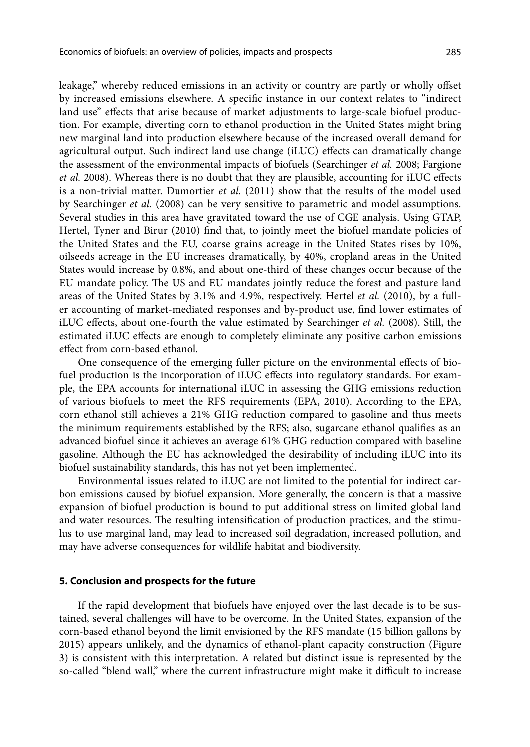leakage," whereby reduced emissions in an activity or country are partly or wholly offset by increased emissions elsewhere. A specific instance in our context relates to "indirect land use" effects that arise because of market adjustments to large-scale biofuel production. For example, diverting corn to ethanol production in the United States might bring new marginal land into production elsewhere because of the increased overall demand for agricultural output. Such indirect land use change (iLUC) effects can dramatically change the assessment of the environmental impacts of biofuels (Searchinger *et al.* 2008; Fargione *et al.* 2008). Whereas there is no doubt that they are plausible, accounting for iLUC effects is a non-trivial matter. Dumortier *et al.* (2011) show that the results of the model used by Searchinger *et al.* (2008) can be very sensitive to parametric and model assumptions. Several studies in this area have gravitated toward the use of CGE analysis. Using GTAP, Hertel, Tyner and Birur (2010) find that, to jointly meet the biofuel mandate policies of the United States and the EU, coarse grains acreage in the United States rises by 10%, oilseeds acreage in the EU increases dramatically, by 40%, cropland areas in the United States would increase by 0.8%, and about one-third of these changes occur because of the EU mandate policy. The US and EU mandates jointly reduce the forest and pasture land areas of the United States by 3.1% and 4.9%, respectively. Hertel *et al.* (2010), by a fuller accounting of market-mediated responses and by-product use, find lower estimates of iLUC effects, about one-fourth the value estimated by Searchinger *et al.* (2008). Still, the estimated iLUC effects are enough to completely eliminate any positive carbon emissions effect from corn-based ethanol.

One consequence of the emerging fuller picture on the environmental effects of biofuel production is the incorporation of iLUC effects into regulatory standards. For example, the EPA accounts for international iLUC in assessing the GHG emissions reduction of various biofuels to meet the RFS requirements (EPA, 2010). According to the EPA, corn ethanol still achieves a 21% GHG reduction compared to gasoline and thus meets the minimum requirements established by the RFS; also, sugarcane ethanol qualifies as an advanced biofuel since it achieves an average 61% GHG reduction compared with baseline gasoline. Although the EU has acknowledged the desirability of including iLUC into its biofuel sustainability standards, this has not yet been implemented.

Environmental issues related to iLUC are not limited to the potential for indirect carbon emissions caused by biofuel expansion. More generally, the concern is that a massive expansion of biofuel production is bound to put additional stress on limited global land and water resources. The resulting intensification of production practices, and the stimulus to use marginal land, may lead to increased soil degradation, increased pollution, and may have adverse consequences for wildlife habitat and biodiversity.

### **5. Conclusion and prospects for the future**

If the rapid development that biofuels have enjoyed over the last decade is to be sustained, several challenges will have to be overcome. In the United States, expansion of the corn-based ethanol beyond the limit envisioned by the RFS mandate (15 billion gallons by 2015) appears unlikely, and the dynamics of ethanol-plant capacity construction (Figure 3) is consistent with this interpretation. A related but distinct issue is represented by the so-called "blend wall," where the current infrastructure might make it difficult to increase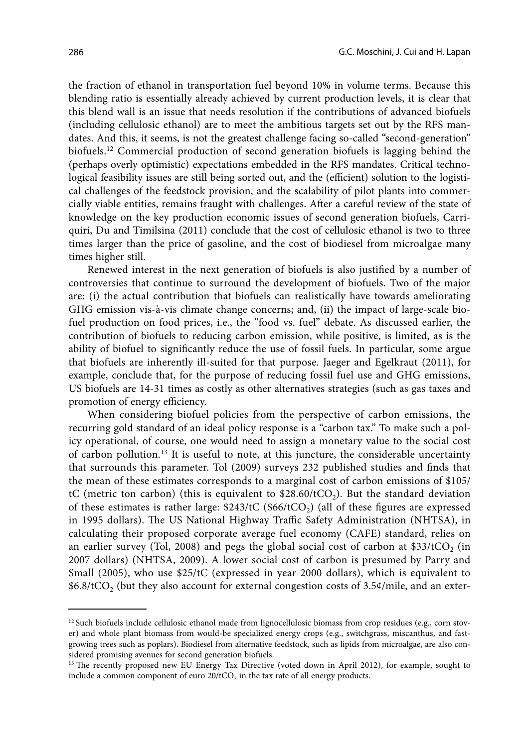the fraction of ethanol in transportation fuel beyond 10% in volume terms. Because this blending ratio is essentially already achieved by current production levels, it is clear that this blend wall is an issue that needs resolution if the contributions of advanced biofuels (including cellulosic ethanol) are to meet the ambitious targets set out by the RFS mandates. And this, it seems, is not the greatest challenge facing so-called "second-generation" biofuels.12 Commercial production of second generation biofuels is lagging behind the (perhaps overly optimistic) expectations embedded in the RFS mandates. Critical technological feasibility issues are still being sorted out, and the (efficient) solution to the logistical challenges of the feedstock provision, and the scalability of pilot plants into commercially viable entities, remains fraught with challenges. After a careful review of the state of knowledge on the key production economic issues of second generation biofuels, Carriquiri, Du and Timilsina (2011) conclude that the cost of cellulosic ethanol is two to three times larger than the price of gasoline, and the cost of biodiesel from microalgae many times higher still.

Renewed interest in the next generation of biofuels is also justified by a number of controversies that continue to surround the development of biofuels. Two of the major are: (i) the actual contribution that biofuels can realistically have towards ameliorating GHG emission vis-à-vis climate change concerns; and, (ii) the impact of large-scale biofuel production on food prices, i.e., the "food vs. fuel" debate. As discussed earlier, the contribution of biofuels to reducing carbon emission, while positive, is limited, as is the ability of biofuel to significantly reduce the use of fossil fuels. In particular, some argue that biofuels are inherently ill-suited for that purpose. Jaeger and Egelkraut (2011), for example, conclude that, for the purpose of reducing fossil fuel use and GHG emissions, US biofuels are 14-31 times as costly as other alternatives strategies (such as gas taxes and promotion of energy efficiency.

When considering biofuel policies from the perspective of carbon emissions, the recurring gold standard of an ideal policy response is a "carbon tax." To make such a policy operational, of course, one would need to assign a monetary value to the social cost of carbon pollution.13 It is useful to note, at this juncture, the considerable uncertainty that surrounds this parameter. Tol (2009) surveys 232 published studies and finds that the mean of these estimates corresponds to a marginal cost of carbon emissions of \$105/ tC (metric ton carbon) (this is equivalent to  $$28.60/tCO<sub>2</sub>$ ). But the standard deviation of these estimates is rather large:  $$243/tC$  ( $$66/tCO<sub>2</sub>$ ) (all of these figures are expressed in 1995 dollars). The US National Highway Traffic Safety Administration (NHTSA), in calculating their proposed corporate average fuel economy (CAFE) standard, relies on an earlier survey (Tol, 2008) and pegs the global social cost of carbon at  $$33/tCO<sub>2</sub>$  (in 2007 dollars) (NHTSA, 2009). A lower social cost of carbon is presumed by Parry and Small (2005), who use \$25/tC (expressed in year 2000 dollars), which is equivalent to  $$6.8/tCO<sub>2</sub>$  (but they also account for external congestion costs of 3.5¢/mile, and an exter-

 $12$  Such biofuels include cellulosic ethanol made from lignocellulosic biomass from crop residues (e.g., corn stover) and whole plant biomass from would-be specialized energy crops (e.g., switchgrass, miscanthus, and fastgrowing trees such as poplars). Biodiesel from alternative feedstock, such as lipids from microalgae, are also considered promising avenues for second generation biofuels.

<sup>&</sup>lt;sup>13</sup> The recently proposed new EU Energy Tax Directive (voted down in April 2012), for example, sought to include a common component of euro  $20$ /tCO<sub>2</sub> in the tax rate of all energy products.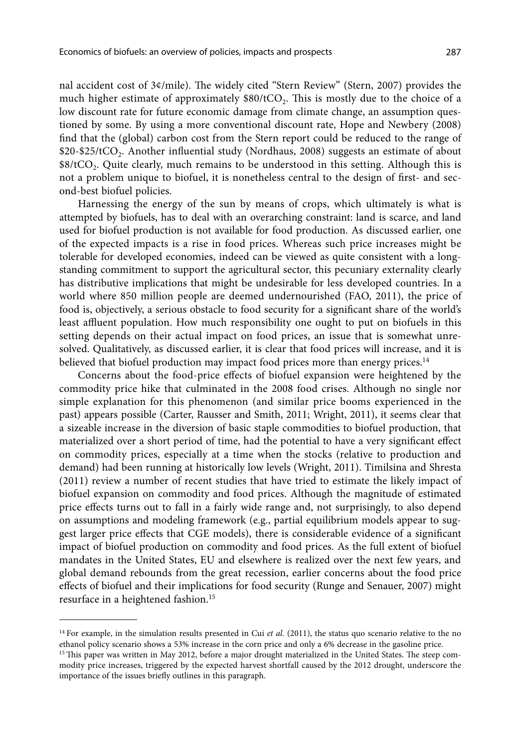nal accident cost of 3¢/mile). The widely cited "Stern Review" (Stern, 2007) provides the much higher estimate of approximately  $$80/tCO<sub>2</sub>$ . This is mostly due to the choice of a low discount rate for future economic damage from climate change, an assumption questioned by some. By using a more conventional discount rate, Hope and Newbery (2008) find that the (global) carbon cost from the Stern report could be reduced to the range of \$20-\$25/tCO<sub>2</sub>. Another influential study (Nordhaus, 2008) suggests an estimate of about  $$8/tCO<sub>2</sub>$ . Quite clearly, much remains to be understood in this setting. Although this is not a problem unique to biofuel, it is nonetheless central to the design of first- and second-best biofuel policies.

Harnessing the energy of the sun by means of crops, which ultimately is what is attempted by biofuels, has to deal with an overarching constraint: land is scarce, and land used for biofuel production is not available for food production. As discussed earlier, one of the expected impacts is a rise in food prices. Whereas such price increases might be tolerable for developed economies, indeed can be viewed as quite consistent with a longstanding commitment to support the agricultural sector, this pecuniary externality clearly has distributive implications that might be undesirable for less developed countries. In a world where 850 million people are deemed undernourished (FAO, 2011), the price of food is, objectively, a serious obstacle to food security for a significant share of the world's least affluent population. How much responsibility one ought to put on biofuels in this setting depends on their actual impact on food prices, an issue that is somewhat unresolved. Qualitatively, as discussed earlier, it is clear that food prices will increase, and it is believed that biofuel production may impact food prices more than energy prices.<sup>14</sup>

Concerns about the food-price effects of biofuel expansion were heightened by the commodity price hike that culminated in the 2008 food crises. Although no single nor simple explanation for this phenomenon (and similar price booms experienced in the past) appears possible (Carter, Rausser and Smith, 2011; Wright, 2011), it seems clear that a sizeable increase in the diversion of basic staple commodities to biofuel production, that materialized over a short period of time, had the potential to have a very significant effect on commodity prices, especially at a time when the stocks (relative to production and demand) had been running at historically low levels (Wright, 2011). Timilsina and Shresta (2011) review a number of recent studies that have tried to estimate the likely impact of biofuel expansion on commodity and food prices. Although the magnitude of estimated price effects turns out to fall in a fairly wide range and, not surprisingly, to also depend on assumptions and modeling framework (e.g., partial equilibrium models appear to suggest larger price effects that CGE models), there is considerable evidence of a significant impact of biofuel production on commodity and food prices. As the full extent of biofuel mandates in the United States, EU and elsewhere is realized over the next few years, and global demand rebounds from the great recession, earlier concerns about the food price effects of biofuel and their implications for food security (Runge and Senauer, 2007) might resurface in a heightened fashion.15

<sup>&</sup>lt;sup>14</sup> For example, in the simulation results presented in Cui *et al.* (2011), the status quo scenario relative to the no ethanol policy scenario shows a 53% increase in the corn price and only a 6% decrease in the gasoline price.

<sup>&</sup>lt;sup>15</sup> This paper was written in May 2012, before a major drought materialized in the United States. The steep commodity price increases, triggered by the expected harvest shortfall caused by the 2012 drought, underscore the importance of the issues briefly outlines in this paragraph.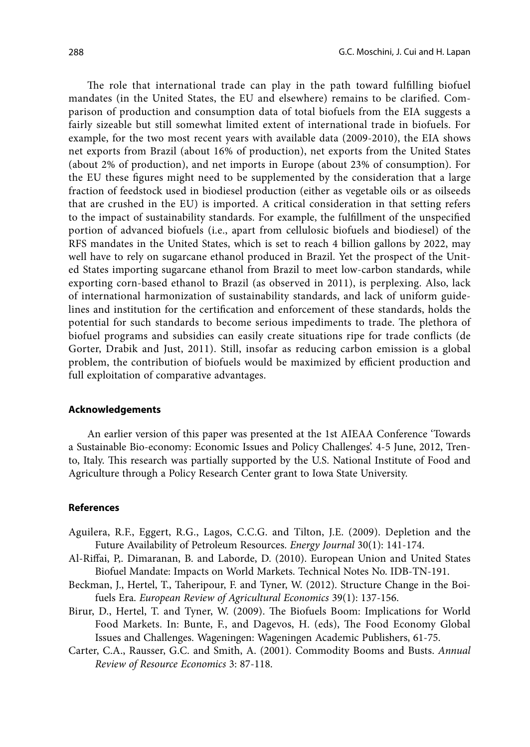The role that international trade can play in the path toward fulfilling biofuel mandates (in the United States, the EU and elsewhere) remains to be clarified. Comparison of production and consumption data of total biofuels from the EIA suggests a fairly sizeable but still somewhat limited extent of international trade in biofuels. For example, for the two most recent years with available data (2009-2010), the EIA shows net exports from Brazil (about 16% of production), net exports from the United States (about 2% of production), and net imports in Europe (about 23% of consumption). For the EU these figures might need to be supplemented by the consideration that a large fraction of feedstock used in biodiesel production (either as vegetable oils or as oilseeds that are crushed in the EU) is imported. A critical consideration in that setting refers to the impact of sustainability standards. For example, the fulfillment of the unspecified portion of advanced biofuels (i.e., apart from cellulosic biofuels and biodiesel) of the RFS mandates in the United States, which is set to reach 4 billion gallons by 2022, may well have to rely on sugarcane ethanol produced in Brazil. Yet the prospect of the United States importing sugarcane ethanol from Brazil to meet low-carbon standards, while exporting corn-based ethanol to Brazil (as observed in 2011), is perplexing. Also, lack of international harmonization of sustainability standards, and lack of uniform guidelines and institution for the certification and enforcement of these standards, holds the potential for such standards to become serious impediments to trade. The plethora of biofuel programs and subsidies can easily create situations ripe for trade conflicts (de Gorter, Drabik and Just, 2011). Still, insofar as reducing carbon emission is a global problem, the contribution of biofuels would be maximized by efficient production and full exploitation of comparative advantages.

### **Acknowledgements**

An earlier version of this paper was presented at the 1st AIEAA Conference 'Towards a Sustainable Bio-economy: Economic Issues and Policy Challenges'. 4-5 June, 2012, Trento, Italy. This research was partially supported by the U.S. National Institute of Food and Agriculture through a Policy Research Center grant to Iowa State University.

### **References**

- Aguilera, R.F., Eggert, R.G., Lagos, C.C.G. and Tilton, J.E. (2009). Depletion and the Future Availability of Petroleum Resources. *Energy Journal* 30(1): 141-174.
- Al-Riffai, P,. Dimaranan, B. and Laborde, D. (2010). European Union and United States Biofuel Mandate: Impacts on World Markets. Technical Notes No. IDB-TN-191.
- Beckman, J., Hertel, T., Taheripour, F. and Tyner, W. (2012). Structure Change in the Boifuels Era. *European Review of Agricultural Economics* 39(1): 137-156.
- Birur, D., Hertel, T. and Tyner, W. (2009). The Biofuels Boom: Implications for World Food Markets. In: Bunte, F., and Dagevos, H. (eds), The Food Economy Global Issues and Challenges. Wageningen: Wageningen Academic Publishers, 61-75.
- Carter, C.A., Rausser, G.C. and Smith, A. (2001). Commodity Booms and Busts. *Annual Review of Resource Economics* 3: 87-118.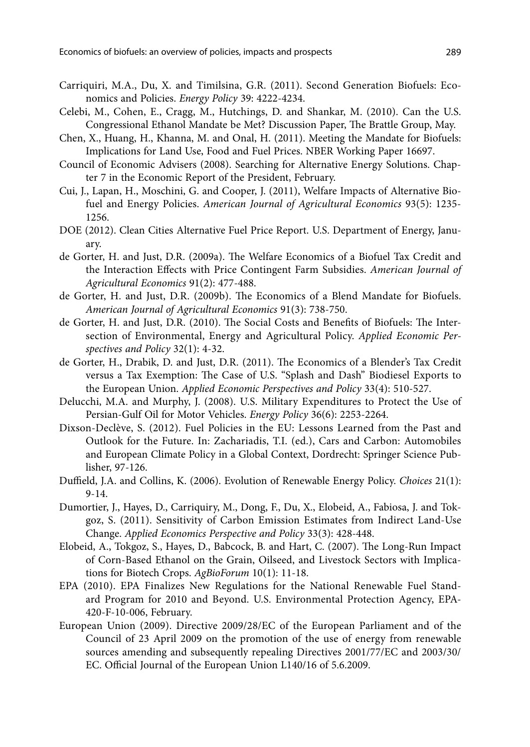- Carriquiri, M.A., Du, X. and Timilsina, G.R. (2011). Second Generation Biofuels: Economics and Policies. *Energy Policy* 39: 4222-4234.
- Celebi, M., Cohen, E., Cragg, M., Hutchings, D. and Shankar, M. (2010). Can the U.S. Congressional Ethanol Mandate be Met? Discussion Paper, The Brattle Group, May.
- Chen, X., Huang, H., Khanna, M. and Onal, H. (2011). Meeting the Mandate for Biofuels: Implications for Land Use, Food and Fuel Prices. NBER Working Paper 16697.
- Council of Economic Advisers (2008). Searching for Alternative Energy Solutions. Chapter 7 in the Economic Report of the President, February.
- Cui, J., Lapan, H., Moschini, G. and Cooper, J. (2011), Welfare Impacts of Alternative Biofuel and Energy Policies. *American Journal of Agricultural Economics* 93(5): 1235- 1256.
- DOE (2012). Clean Cities Alternative Fuel Price Report. U.S. Department of Energy, January.
- de Gorter, H. and Just, D.R. (2009a). The Welfare Economics of a Biofuel Tax Credit and the Interaction Effects with Price Contingent Farm Subsidies. *American Journal of Agricultural Economics* 91(2): 477-488.
- de Gorter, H. and Just, D.R. (2009b). The Economics of a Blend Mandate for Biofuels. *American Journal of Agricultural Economics* 91(3): 738-750.
- de Gorter, H. and Just, D.R. (2010). The Social Costs and Benefits of Biofuels: The Intersection of Environmental, Energy and Agricultural Policy. *Applied Economic Perspectives and Policy* 32(1): 4-32.
- de Gorter, H., Drabik, D. and Just, D.R. (2011). The Economics of a Blender's Tax Credit versus a Tax Exemption: The Case of U.S. "Splash and Dash" Biodiesel Exports to the European Union. *Applied Economic Perspectives and Policy* 33(4): 510-527.
- Delucchi, M.A. and Murphy, J. (2008). U.S. Military Expenditures to Protect the Use of Persian-Gulf Oil for Motor Vehicles. *Energy Policy* 36(6): 2253-2264.
- Dixson-Declève, S. (2012). Fuel Policies in the EU: Lessons Learned from the Past and Outlook for the Future. In: Zachariadis, T.I. (ed.), Cars and Carbon: Automobiles and European Climate Policy in a Global Context, Dordrecht: Springer Science Publisher, 97-126.
- Duffield, J.A. and Collins, K. (2006). Evolution of Renewable Energy Policy. *Choices* 21(1): 9-14.
- Dumortier, J., Hayes, D., Carriquiry, M., Dong, F., Du, X., Elobeid, A., Fabiosa, J. and Tokgoz, S. (2011). Sensitivity of Carbon Emission Estimates from Indirect Land-Use Change. *Applied Economics Perspective and Policy* 33(3): 428-448.
- Elobeid, A., Tokgoz, S., Hayes, D., Babcock, B. and Hart, C. (2007). The Long-Run Impact of Corn-Based Ethanol on the Grain, Oilseed, and Livestock Sectors with Implications for Biotech Crops. *AgBioForum* 10(1): 11-18.
- EPA (2010). EPA Finalizes New Regulations for the National Renewable Fuel Standard Program for 2010 and Beyond. U.S. Environmental Protection Agency, EPA-420-F-10-006, February.
- European Union (2009). Directive 2009/28/EC of the European Parliament and of the Council of 23 April 2009 on the promotion of the use of energy from renewable sources amending and subsequently repealing Directives 2001/77/EC and 2003/30/ EC. Official Journal of the European Union L140/16 of 5.6.2009.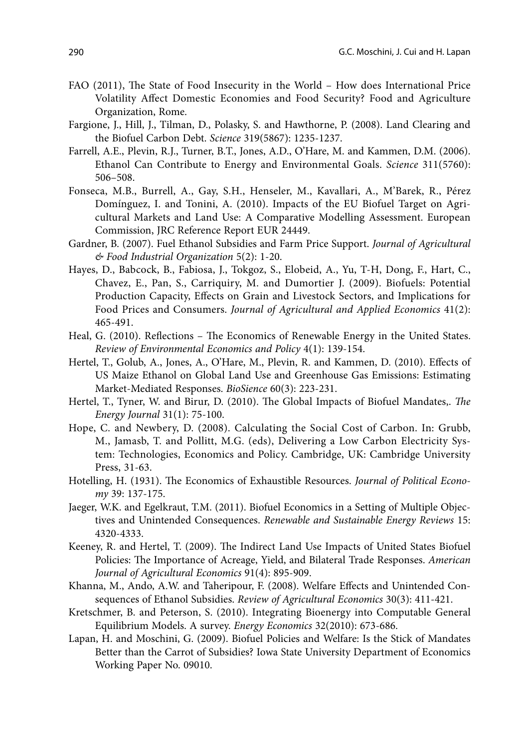- FAO (2011), The State of Food Insecurity in the World How does International Price Volatility Affect Domestic Economies and Food Security? Food and Agriculture Organization, Rome.
- Fargione, J., Hill, J., Tilman, D., Polasky, S. and Hawthorne, P. (2008). Land Clearing and the Biofuel Carbon Debt. *Science* 319(5867): 1235-1237.
- Farrell, A.E., Plevin, R.J., Turner, B.T., Jones, A.D., O'Hare, M. and Kammen, D.M. (2006). Ethanol Can Contribute to Energy and Environmental Goals. *Science* 311(5760): 506–508.
- Fonseca, M.B., Burrell, A., Gay, S.H., Henseler, M., Kavallari, A., M'Barek, R., Pérez Domínguez, I. and Tonini, A. (2010). Impacts of the EU Biofuel Target on Agricultural Markets and Land Use: A Comparative Modelling Assessment. European Commission, JRC Reference Report EUR 24449.
- Gardner, B. (2007). Fuel Ethanol Subsidies and Farm Price Support. *Journal of Agricultural & Food Industrial Organization* 5(2): 1-20.
- Hayes, D., Babcock, B., Fabiosa, J., Tokgoz, S., Elobeid, A., Yu, T-H, Dong, F., Hart, C., Chavez, E., Pan, S., Carriquiry, M. and Dumortier J. (2009). Biofuels: Potential Production Capacity, Effects on Grain and Livestock Sectors, and Implications for Food Prices and Consumers. *Journal of Agricultural and Applied Economics* 41(2): 465-491.
- Heal, G. (2010). Reflections The Economics of Renewable Energy in the United States. *Review of Environmental Economics and Policy* 4(1): 139-154.
- Hertel, T., Golub, A., Jones, A., O'Hare, M., Plevin, R. and Kammen, D. (2010). Effects of US Maize Ethanol on Global Land Use and Greenhouse Gas Emissions: Estimating Market-Mediated Responses. *BioSience* 60(3): 223-231.
- Hertel, T., Tyner, W. and Birur, D. (2010). The Global Impacts of Biofuel Mandates,. *The Energy Journal* 31(1): 75-100.
- Hope, C. and Newbery, D. (2008). Calculating the Social Cost of Carbon. In: Grubb, M., Jamasb, T. and Pollitt, M.G. (eds), Delivering a Low Carbon Electricity System: Technologies, Economics and Policy. Cambridge, UK: Cambridge University Press, 31-63.
- Hotelling, H. (1931). The Economics of Exhaustible Resources. *Journal of Political Economy* 39: 137-175.
- Jaeger, W.K. and Egelkraut, T.M. (2011). Biofuel Economics in a Setting of Multiple Objectives and Unintended Consequences. *Renewable and Sustainable Energy Reviews* 15: 4320-4333.
- Keeney, R. and Hertel, T. (2009). The Indirect Land Use Impacts of United States Biofuel Policies: The Importance of Acreage, Yield, and Bilateral Trade Responses. *American Journal of Agricultural Economics* 91(4): 895-909.
- Khanna, M., Ando, A.W. and Taheripour, F. (2008). Welfare Effects and Unintended Consequences of Ethanol Subsidies. *Review of Agricultural Economics* 30(3): 411-421.
- Kretschmer, B. and Peterson, S. (2010). Integrating Bioenergy into Computable General Equilibrium Models. A survey. *Energy Economics* 32(2010): 673-686.
- Lapan, H. and Moschini, G. (2009). Biofuel Policies and Welfare: Is the Stick of Mandates Better than the Carrot of Subsidies? Iowa State University Department of Economics Working Paper No. 09010.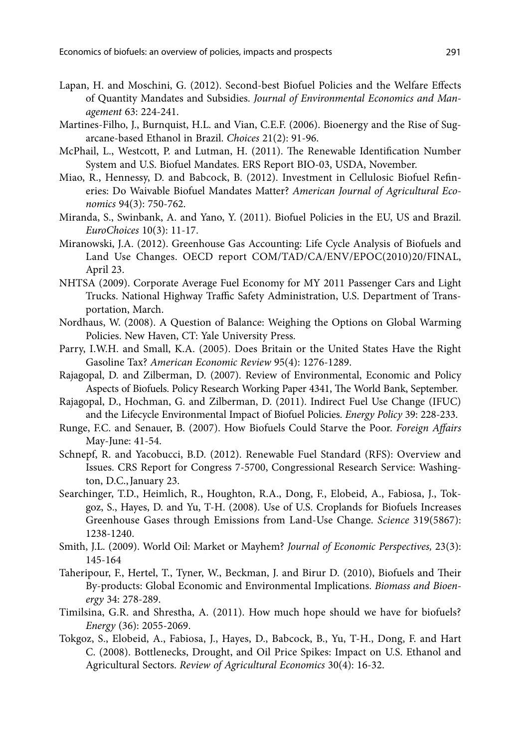- Lapan, H. and Moschini, G. (2012). Second-best Biofuel Policies and the Welfare Effects of Quantity Mandates and Subsidies. *Journal of Environmental Economics and Management* 63: 224-241.
- Martines-Filho, J., Burnquist, H.L. and Vian, C.E.F. (2006). Bioenergy and the Rise of Sugarcane-based Ethanol in Brazil. *Choices* 21(2): 91-96.
- McPhail, L., Westcott, P. and Lutman, H. (2011). The Renewable Identification Number System and U.S. Biofuel Mandates. ERS Report BIO-03, USDA, November.
- Miao, R., Hennessy, D. and Babcock, B. (2012). Investment in Cellulosic Biofuel Refineries: Do Waivable Biofuel Mandates Matter? *American Journal of Agricultural Economics* 94(3): 750-762.
- Miranda, S., Swinbank, A. and Yano, Y. (2011). Biofuel Policies in the EU, US and Brazil. *EuroChoices* 10(3): 11-17.
- Miranowski, J.A. (2012). Greenhouse Gas Accounting: Life Cycle Analysis of Biofuels and Land Use Changes. OECD report COM/TAD/CA/ENV/EPOC(2010)20/FINAL, April 23.
- NHTSA (2009). Corporate Average Fuel Economy for MY 2011 Passenger Cars and Light Trucks. National Highway Traffic Safety Administration, U.S. Department of Transportation, March.
- Nordhaus, W. (2008). A Question of Balance: Weighing the Options on Global Warming Policies. New Haven, CT: Yale University Press.
- Parry, I.W.H. and Small, K.A. (2005). Does Britain or the United States Have the Right Gasoline Tax? *American Economic Review* 95(4): 1276-1289.
- Rajagopal, D. and Zilberman, D. (2007). Review of Environmental, Economic and Policy Aspects of Biofuels. Policy Research Working Paper 4341, The World Bank, September.
- Rajagopal, D., Hochman, G. and Zilberman, D. (2011). Indirect Fuel Use Change (IFUC) and the Lifecycle Environmental Impact of Biofuel Policies. *Energy Policy* 39: 228-233.
- Runge, F.C. and Senauer, B. (2007). How Biofuels Could Starve the Poor. *Foreign Affairs* May-June: 41-54.
- Schnepf, R. and Yacobucci, B.D. (2012). Renewable Fuel Standard (RFS): Overview and Issues. CRS Report for Congress 7-5700, Congressional Research Service: Washington, D.C.,January 23.
- Searchinger, T.D., Heimlich, R., Houghton, R.A., Dong, F., Elobeid, A., Fabiosa, J., Tokgoz, S., Hayes, D. and Yu, T-H. (2008). Use of U.S. Croplands for Biofuels Increases Greenhouse Gases through Emissions from Land-Use Change. *Science* 319(5867): 1238-1240.
- Smith, J.L. (2009). World Oil: Market or Mayhem? *Journal of Economic Perspectives,* 23(3): 145-164
- Taheripour, F., Hertel, T., Tyner, W., Beckman, J. and Birur D. (2010), Biofuels and Their By-products: Global Economic and Environmental Implications. *Biomass and Bioenergy* 34: 278-289.
- Timilsina, G.R. and Shrestha, A. (2011). How much hope should we have for biofuels? *Energy* (36): 2055-2069.
- Tokgoz, S., Elobeid, A., Fabiosa, J., Hayes, D., Babcock, B., Yu, T-H., Dong, F. and Hart C. (2008). Bottlenecks, Drought, and Oil Price Spikes: Impact on U.S. Ethanol and Agricultural Sectors. *Review of Agricultural Economics* 30(4): 16-32.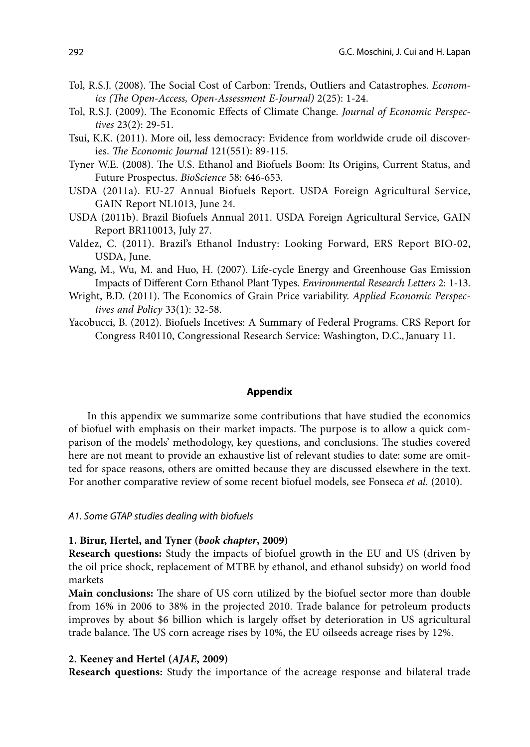- Tol, R.S.J. (2008). The Social Cost of Carbon: Trends, Outliers and Catastrophes. *Economics (The Open-Access, Open-Assessment E-Journal)* 2(25): 1-24.
- Tol, R.S.J. (2009). The Economic Effects of Climate Change. *Journal of Economic Perspectives* 23(2): 29-51.
- Tsui, K.K. (2011). More oil, less democracy: Evidence from worldwide crude oil discoveries. *The Economic Journal* 121(551): 89-115.
- Tyner W.E. (2008). The U.S. Ethanol and Biofuels Boom: Its Origins, Current Status, and Future Prospectus. *BioScience* 58: 646-653.
- USDA (2011a). EU-27 Annual Biofuels Report. USDA Foreign Agricultural Service, GAIN Report NL1013, June 24.
- USDA (2011b). Brazil Biofuels Annual 2011. USDA Foreign Agricultural Service, GAIN Report BR110013, July 27.
- Valdez, C. (2011). Brazil's Ethanol Industry: Looking Forward, ERS Report BIO-02, USDA, June.
- Wang, M., Wu, M. and Huo, H. (2007). Life-cycle Energy and Greenhouse Gas Emission Impacts of Different Corn Ethanol Plant Types. *Environmental Research Letters* 2: 1-13.
- Wright, B.D. (2011). The Economics of Grain Price variability. *Applied Economic Perspectives and Policy* 33(1): 32-58.
- Yacobucci, B. (2012). Biofuels Incetives: A Summary of Federal Programs. CRS Report for Congress R40110, Congressional Research Service: Washington, D.C.,January 11.

#### **Appendix**

In this appendix we summarize some contributions that have studied the economics of biofuel with emphasis on their market impacts. The purpose is to allow a quick comparison of the models' methodology, key questions, and conclusions. The studies covered here are not meant to provide an exhaustive list of relevant studies to date: some are omitted for space reasons, others are omitted because they are discussed elsewhere in the text. For another comparative review of some recent biofuel models, see Fonseca *et al.* (2010).

### *A1. Some GTAP studies dealing with biofuels*

#### **1. Birur, Hertel, and Tyner (***book chapter***, 2009)**

**Research questions:** Study the impacts of biofuel growth in the EU and US (driven by the oil price shock, replacement of MTBE by ethanol, and ethanol subsidy) on world food markets

**Main conclusions:** The share of US corn utilized by the biofuel sector more than double from 16% in 2006 to 38% in the projected 2010. Trade balance for petroleum products improves by about \$6 billion which is largely offset by deterioration in US agricultural trade balance. The US corn acreage rises by 10%, the EU oilseeds acreage rises by 12%.

### **2. Keeney and Hertel (***AJAE***, 2009)**

**Research questions:** Study the importance of the acreage response and bilateral trade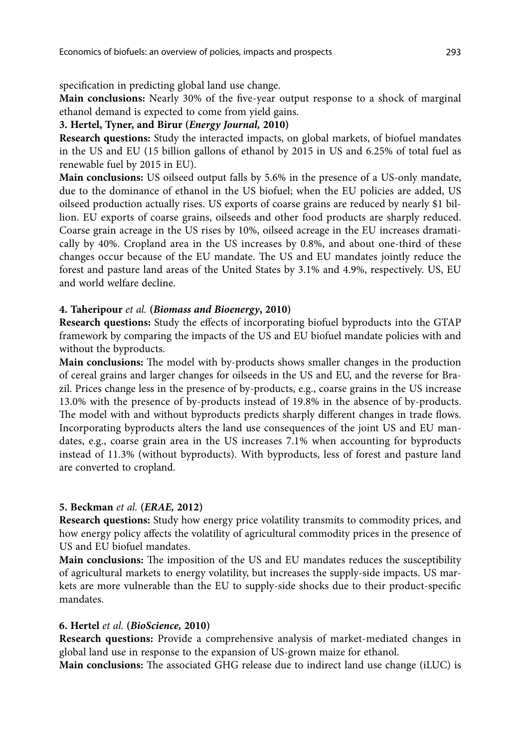specification in predicting global land use change.

**Main conclusions:** Nearly 30% of the five-year output response to a shock of marginal ethanol demand is expected to come from yield gains.

### **3. Hertel, Tyner, and Birur (***Energy Journal,* **2010)**

**Research questions:** Study the interacted impacts, on global markets, of biofuel mandates in the US and EU (15 billion gallons of ethanol by 2015 in US and 6.25% of total fuel as renewable fuel by 2015 in EU).

**Main conclusions:** US oilseed output falls by 5.6% in the presence of a US-only mandate, due to the dominance of ethanol in the US biofuel; when the EU policies are added, US oilseed production actually rises. US exports of coarse grains are reduced by nearly \$1 billion. EU exports of coarse grains, oilseeds and other food products are sharply reduced. Coarse grain acreage in the US rises by 10%, oilseed acreage in the EU increases dramatically by 40%. Cropland area in the US increases by 0.8%, and about one-third of these changes occur because of the EU mandate. The US and EU mandates jointly reduce the forest and pasture land areas of the United States by 3.1% and 4.9%, respectively. US, EU and world welfare decline.

### **4. Taheripour** *et al.* **(***Biomass and Bioenergy***, 2010)**

**Research questions:** Study the effects of incorporating biofuel byproducts into the GTAP framework by comparing the impacts of the US and EU biofuel mandate policies with and without the byproducts.

**Main conclusions:** The model with by-products shows smaller changes in the production of cereal grains and larger changes for oilseeds in the US and EU, and the reverse for Brazil. Prices change less in the presence of by-products, e.g., coarse grains in the US increase 13.0% with the presence of by-products instead of 19.8% in the absence of by-products. The model with and without byproducts predicts sharply different changes in trade flows. Incorporating byproducts alters the land use consequences of the joint US and EU mandates, e.g., coarse grain area in the US increases 7.1% when accounting for byproducts instead of 11.3% (without byproducts). With byproducts, less of forest and pasture land are converted to cropland.

### **5. Beckman** *et al.* **(***ERAE,* **2012)**

**Research questions:** Study how energy price volatility transmits to commodity prices, and how energy policy affects the volatility of agricultural commodity prices in the presence of US and EU biofuel mandates.

**Main conclusions:** The imposition of the US and EU mandates reduces the susceptibility of agricultural markets to energy volatility, but increases the supply-side impacts. US markets are more vulnerable than the EU to supply-side shocks due to their product-specific mandates.

# **6. Hertel** *et al.* **(***BioScience,* **2010)**

**Research questions:** Provide a comprehensive analysis of market-mediated changes in global land use in response to the expansion of US-grown maize for ethanol.

**Main conclusions:** The associated GHG release due to indirect land use change (iLUC) is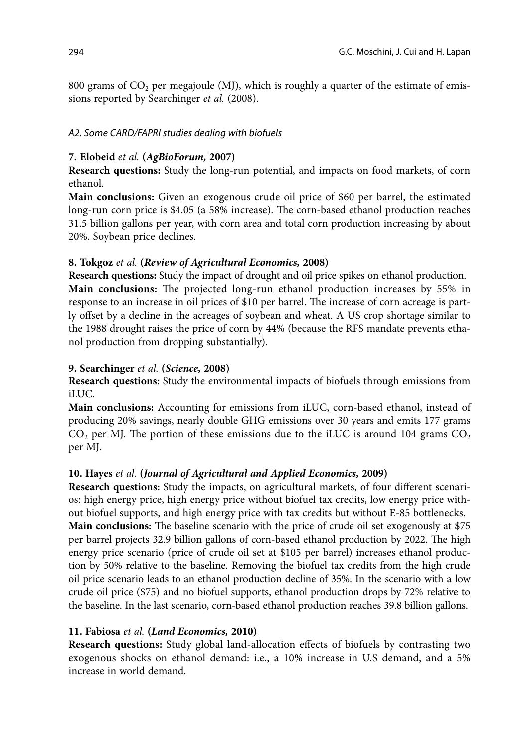800 grams of  $CO<sub>2</sub>$  per megajoule (MJ), which is roughly a quarter of the estimate of emissions reported by Searchinger *et al.* (2008).

# *A2. Some CARD/FAPRI studies dealing with biofuels*

# **7. Elobeid** *et al.* **(***AgBioForum,* **2007)**

**Research questions:** Study the long-run potential, and impacts on food markets, of corn ethanol.

**Main conclusions:** Given an exogenous crude oil price of \$60 per barrel, the estimated long-run corn price is \$4.05 (a 58% increase). The corn-based ethanol production reaches 31.5 billion gallons per year, with corn area and total corn production increasing by about 20%. Soybean price declines.

# **8. Tokgoz** *et al.* **(***Review of Agricultural Economics,* **2008)**

**Research questions:** Study the impact of drought and oil price spikes on ethanol production. **Main conclusions:** The projected long-run ethanol production increases by 55% in response to an increase in oil prices of \$10 per barrel. The increase of corn acreage is partly offset by a decline in the acreages of soybean and wheat. A US crop shortage similar to the 1988 drought raises the price of corn by 44% (because the RFS mandate prevents ethanol production from dropping substantially).

# **9. Searchinger** *et al.* **(***Science,* **2008)**

**Research questions:** Study the environmental impacts of biofuels through emissions from iLUC.

**Main conclusions:** Accounting for emissions from iLUC, corn-based ethanol, instead of producing 20% savings, nearly double GHG emissions over 30 years and emits 177 grams  $CO<sub>2</sub>$  per MJ. The portion of these emissions due to the iLUC is around 104 grams  $CO<sub>2</sub>$ per MJ.

# **10. Hayes** *et al.* **(***Journal of Agricultural and Applied Economics,* **2009)**

**Research questions:** Study the impacts, on agricultural markets, of four different scenarios: high energy price, high energy price without biofuel tax credits, low energy price without biofuel supports, and high energy price with tax credits but without E-85 bottlenecks. **Main conclusions:** The baseline scenario with the price of crude oil set exogenously at \$75 per barrel projects 32.9 billion gallons of corn-based ethanol production by 2022. The high energy price scenario (price of crude oil set at \$105 per barrel) increases ethanol production by 50% relative to the baseline. Removing the biofuel tax credits from the high crude oil price scenario leads to an ethanol production decline of 35%. In the scenario with a low crude oil price (\$75) and no biofuel supports, ethanol production drops by 72% relative to the baseline. In the last scenario, corn-based ethanol production reaches 39.8 billion gallons.

# **11. Fabiosa** *et al.* **(***Land Economics,* **2010)**

**Research questions:** Study global land-allocation effects of biofuels by contrasting two exogenous shocks on ethanol demand: i.e., a 10% increase in U.S demand, and a 5% increase in world demand.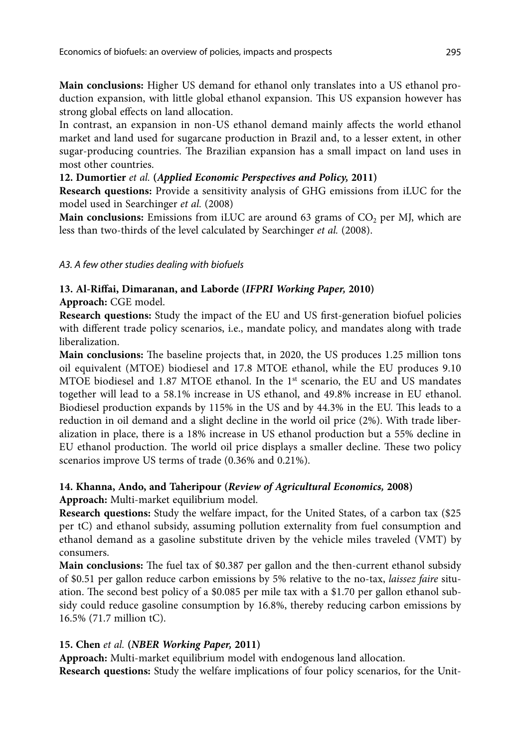**Main conclusions:** Higher US demand for ethanol only translates into a US ethanol production expansion, with little global ethanol expansion. This US expansion however has strong global effects on land allocation.

In contrast, an expansion in non-US ethanol demand mainly affects the world ethanol market and land used for sugarcane production in Brazil and, to a lesser extent, in other sugar-producing countries. The Brazilian expansion has a small impact on land uses in most other countries.

# **12. Dumortier** *et al.* **(***Applied Economic Perspectives and Policy,* **2011)**

**Research questions:** Provide a sensitivity analysis of GHG emissions from iLUC for the model used in Searchinger *et al.* (2008)

**Main conclusions:** Emissions from iLUC are around 63 grams of CO<sub>2</sub> per MJ, which are less than two-thirds of the level calculated by Searchinger *et al.* (2008).

# *A3. A few other studies dealing with biofuels*

# **13. Al-Riffai, Dimaranan, and Laborde (***IFPRI Working Paper,* **2010)**

**Approach:** CGE model.

**Research questions:** Study the impact of the EU and US first-generation biofuel policies with different trade policy scenarios, i.e., mandate policy, and mandates along with trade liberalization.

**Main conclusions:** The baseline projects that, in 2020, the US produces 1.25 million tons oil equivalent (MTOE) biodiesel and 17.8 MTOE ethanol, while the EU produces 9.10 MTOE biodiesel and 1.87 MTOE ethanol. In the 1st scenario, the EU and US mandates together will lead to a 58.1% increase in US ethanol, and 49.8% increase in EU ethanol. Biodiesel production expands by 115% in the US and by 44.3% in the EU. This leads to a reduction in oil demand and a slight decline in the world oil price (2%). With trade liberalization in place, there is a 18% increase in US ethanol production but a 55% decline in EU ethanol production. The world oil price displays a smaller decline. These two policy scenarios improve US terms of trade (0.36% and 0.21%).

# **14. Khanna, Ando, and Taheripour (***Review of Agricultural Economics,* **2008)**

**Approach:** Multi-market equilibrium model.

**Research questions:** Study the welfare impact, for the United States, of a carbon tax (\$25 per tC) and ethanol subsidy, assuming pollution externality from fuel consumption and ethanol demand as a gasoline substitute driven by the vehicle miles traveled (VMT) by consumers.

**Main conclusions:** The fuel tax of \$0.387 per gallon and the then-current ethanol subsidy of \$0.51 per gallon reduce carbon emissions by 5% relative to the no-tax, *laissez faire* situation. The second best policy of a \$0.085 per mile tax with a \$1.70 per gallon ethanol subsidy could reduce gasoline consumption by 16.8%, thereby reducing carbon emissions by 16.5% (71.7 million tC).

# **15. Chen** *et al.* **(***NBER Working Paper,* **2011)**

**Approach:** Multi-market equilibrium model with endogenous land allocation. **Research questions:** Study the welfare implications of four policy scenarios, for the Unit